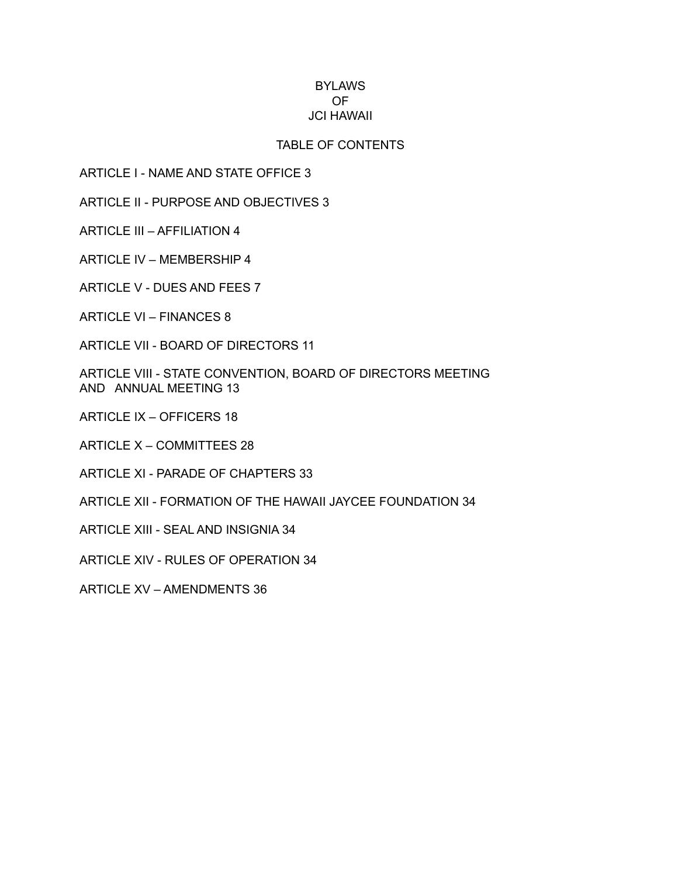## BYLAWS OF JCI HAWAII

## TABLE OF CONTENTS

ARTICLE I - NAME AND STATE OFFICE 3

ARTICLE II - PURPOSE AND OBJECTIVES 3

ARTICLE III – AFFILIATION 4

ARTICLE IV – MEMBERSHIP 4

ARTICLE V - DUES AND FEES 7

ARTICLE VI – FINANCES 8

ARTICLE VII - BOARD OF DIRECTORS 11

ARTICLE VIII - STATE CONVENTION, BOARD OF DIRECTORS MEETING AND ANNUAL MEETING 13

ARTICLE IX – OFFICERS 18

ARTICLE X – COMMITTEES 28

ARTICLE XI - PARADE OF CHAPTERS 33

ARTICLE XII - FORMATION OF THE HAWAII JAYCEE FOUNDATION 34

ARTICLE XIII - SEAL AND INSIGNIA 34

ARTICLE XIV - RULES OF OPERATION 34

ARTICLE XV – AMENDMENTS 36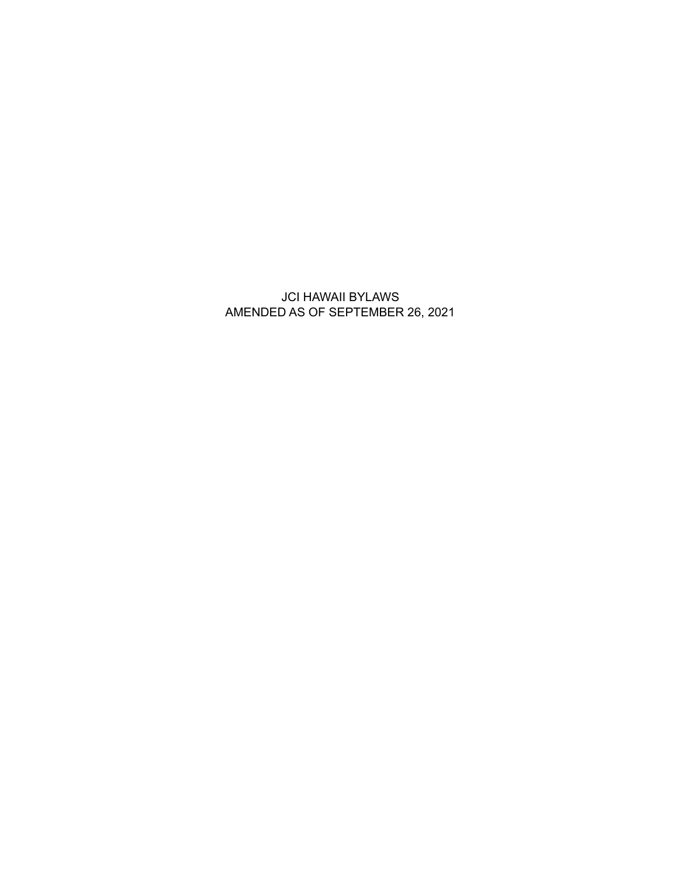JCI HAWAII BYLAWS AMENDED AS OF SEPTEMBER 26, 2021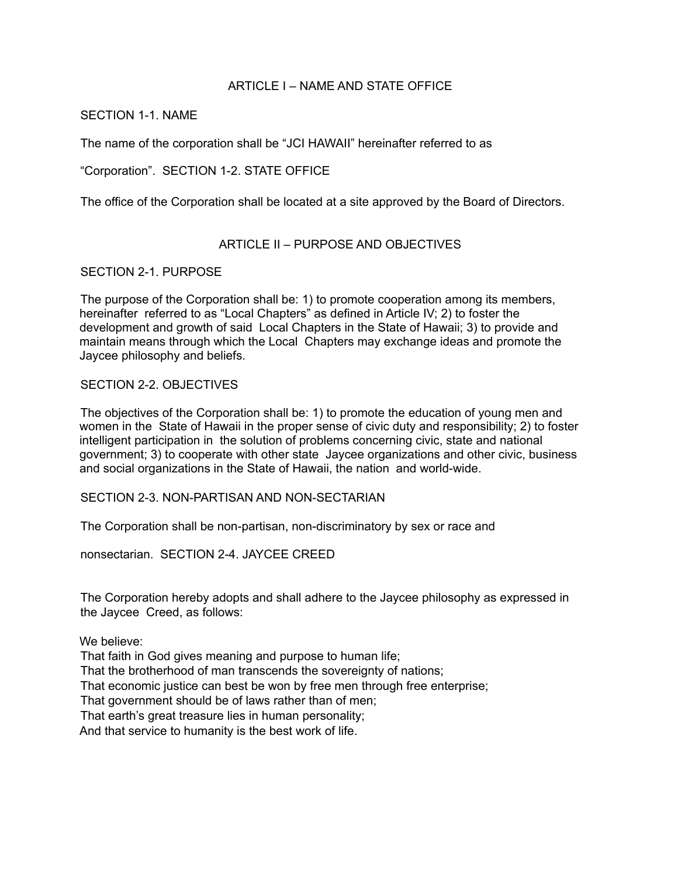## ARTICLE I – NAME AND STATE OFFICE

### SECTION 1-1. NAME

The name of the corporation shall be "JCI HAWAII" hereinafter referred to as

"Corporation". SECTION 1-2. STATE OFFICE

The office of the Corporation shall be located at a site approved by the Board of Directors.

# ARTICLE II – PURPOSE AND OBJECTIVES

### SECTION 2-1. PURPOSE

The purpose of the Corporation shall be: 1) to promote cooperation among its members, hereinafter referred to as "Local Chapters" as defined in Article IV; 2) to foster the development and growth of said Local Chapters in the State of Hawaii; 3) to provide and maintain means through which the Local Chapters may exchange ideas and promote the Jaycee philosophy and beliefs.

### SECTION 2-2. OBJECTIVES

The objectives of the Corporation shall be: 1) to promote the education of young men and women in the State of Hawaii in the proper sense of civic duty and responsibility; 2) to foster intelligent participation in the solution of problems concerning civic, state and national government; 3) to cooperate with other state Jaycee organizations and other civic, business and social organizations in the State of Hawaii, the nation and world-wide.

SECTION 2-3. NON-PARTISAN AND NON-SECTARIAN

The Corporation shall be non-partisan, non-discriminatory by sex or race and

nonsectarian. SECTION 2-4. JAYCEE CREED

The Corporation hereby adopts and shall adhere to the Jaycee philosophy as expressed in the Jaycee Creed, as follows:

We believe:

That faith in God gives meaning and purpose to human life; That the brotherhood of man transcends the sovereignty of nations; That economic justice can best be won by free men through free enterprise; That government should be of laws rather than of men; That earth's great treasure lies in human personality;

And that service to humanity is the best work of life.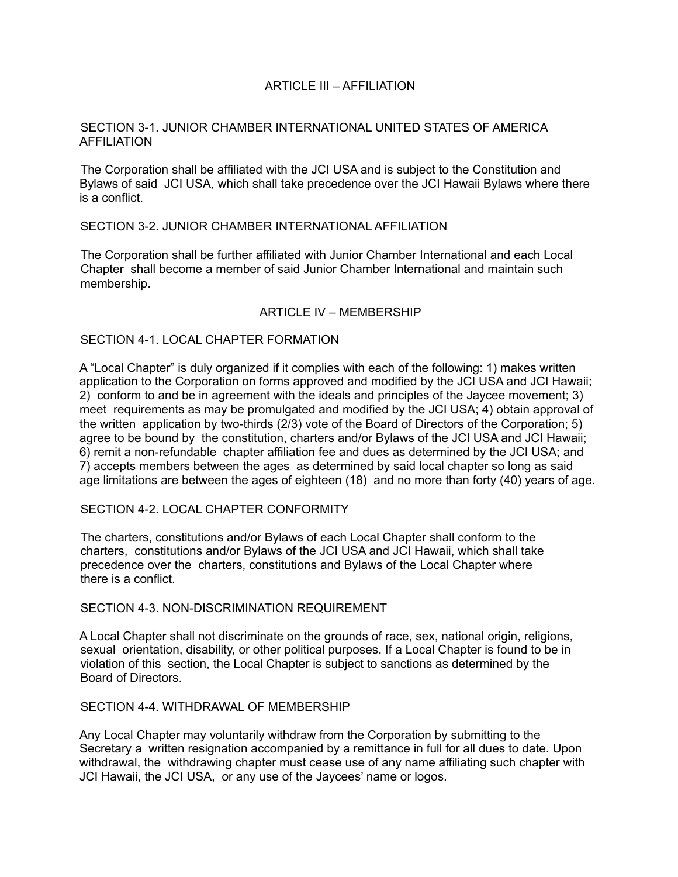## ARTICLE III – AFFILIATION

### SECTION 3-1. JUNIOR CHAMBER INTERNATIONAL UNITED STATES OF AMERICA AFFILIATION

The Corporation shall be affiliated with the JCI USA and is subject to the Constitution and Bylaws of said JCI USA, which shall take precedence over the JCI Hawaii Bylaws where there is a conflict.

### SECTION 3-2. JUNIOR CHAMBER INTERNATIONAL AFFILIATION

The Corporation shall be further affiliated with Junior Chamber International and each Local Chapter shall become a member of said Junior Chamber International and maintain such membership.

### ARTICLE IV – MEMBERSHIP

#### SECTION 4-1. LOCAL CHAPTER FORMATION

A "Local Chapter" is duly organized if it complies with each of the following: 1) makes written application to the Corporation on forms approved and modified by the JCI USA and JCI Hawaii; 2) conform to and be in agreement with the ideals and principles of the Jaycee movement; 3) meet requirements as may be promulgated and modified by the JCI USA; 4) obtain approval of the written application by two-thirds (2/3) vote of the Board of Directors of the Corporation; 5) agree to be bound by the constitution, charters and/or Bylaws of the JCI USA and JCI Hawaii; 6) remit a non-refundable chapter affiliation fee and dues as determined by the JCI USA; and 7) accepts members between the ages as determined by said local chapter so long as said age limitations are between the ages of eighteen (18) and no more than forty (40) years of age.

#### SECTION 4-2. LOCAL CHAPTER CONFORMITY

The charters, constitutions and/or Bylaws of each Local Chapter shall conform to the charters, constitutions and/or Bylaws of the JCI USA and JCI Hawaii, which shall take precedence over the charters, constitutions and Bylaws of the Local Chapter where there is a conflict.

#### SECTION 4-3. NON-DISCRIMINATION REQUIREMENT

A Local Chapter shall not discriminate on the grounds of race, sex, national origin, religions, sexual orientation, disability, or other political purposes. If a Local Chapter is found to be in violation of this section, the Local Chapter is subject to sanctions as determined by the Board of Directors.

### SECTION 4-4. WITHDRAWAL OF MEMBERSHIP

Any Local Chapter may voluntarily withdraw from the Corporation by submitting to the Secretary a written resignation accompanied by a remittance in full for all dues to date. Upon withdrawal, the withdrawing chapter must cease use of any name affiliating such chapter with JCI Hawaii, the JCI USA, or any use of the Jaycees' name or logos.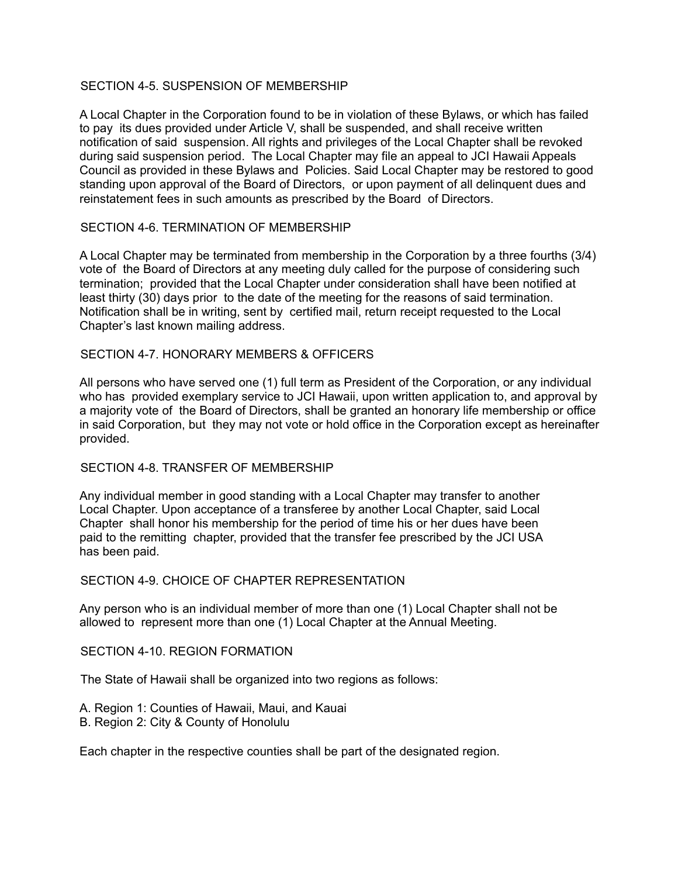# SECTION 4-5. SUSPENSION OF MEMBERSHIP

A Local Chapter in the Corporation found to be in violation of these Bylaws, or which has failed to pay its dues provided under Article V, shall be suspended, and shall receive written notification of said suspension. All rights and privileges of the Local Chapter shall be revoked during said suspension period. The Local Chapter may file an appeal to JCI Hawaii Appeals Council as provided in these Bylaws and Policies. Said Local Chapter may be restored to good standing upon approval of the Board of Directors, or upon payment of all delinquent dues and reinstatement fees in such amounts as prescribed by the Board of Directors.

# SECTION 4-6. TERMINATION OF MEMBERSHIP

A Local Chapter may be terminated from membership in the Corporation by a three fourths (3/4) vote of the Board of Directors at any meeting duly called for the purpose of considering such termination; provided that the Local Chapter under consideration shall have been notified at least thirty (30) days prior to the date of the meeting for the reasons of said termination. Notification shall be in writing, sent by certified mail, return receipt requested to the Local Chapter's last known mailing address.

### SECTION 4-7. HONORARY MEMBERS & OFFICERS

All persons who have served one (1) full term as President of the Corporation, or any individual who has provided exemplary service to JCI Hawaii, upon written application to, and approval by a majority vote of the Board of Directors, shall be granted an honorary life membership or office in said Corporation, but they may not vote or hold office in the Corporation except as hereinafter provided.

### SECTION 4-8. TRANSFER OF MEMBERSHIP

Any individual member in good standing with a Local Chapter may transfer to another Local Chapter. Upon acceptance of a transferee by another Local Chapter, said Local Chapter shall honor his membership for the period of time his or her dues have been paid to the remitting chapter, provided that the transfer fee prescribed by the JCI USA has been paid.

### SECTION 4-9. CHOICE OF CHAPTER REPRESENTATION

Any person who is an individual member of more than one (1) Local Chapter shall not be allowed to represent more than one (1) Local Chapter at the Annual Meeting.

### SECTION 4-10. REGION FORMATION

The State of Hawaii shall be organized into two regions as follows:

- A. Region 1: Counties of Hawaii, Maui, and Kauai
- B. Region 2: City & County of Honolulu

Each chapter in the respective counties shall be part of the designated region.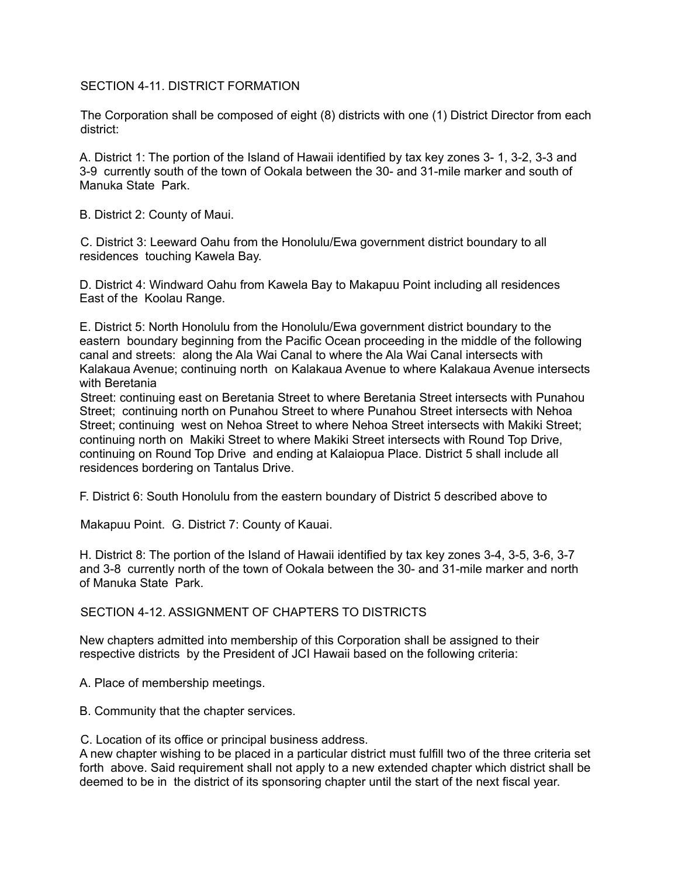## SECTION 4-11. DISTRICT FORMATION

The Corporation shall be composed of eight (8) districts with one (1) District Director from each district:

A. District 1: The portion of the Island of Hawaii identified by tax key zones 3- 1, 3-2, 3-3 and 3-9 currently south of the town of Ookala between the 30- and 31-mile marker and south of Manuka State Park.

B. District 2: County of Maui.

C. District 3: Leeward Oahu from the Honolulu/Ewa government district boundary to all residences touching Kawela Bay.

D. District 4: Windward Oahu from Kawela Bay to Makapuu Point including all residences East of the Koolau Range.

E. District 5: North Honolulu from the Honolulu/Ewa government district boundary to the eastern boundary beginning from the Pacific Ocean proceeding in the middle of the following canal and streets: along the Ala Wai Canal to where the Ala Wai Canal intersects with Kalakaua Avenue; continuing north on Kalakaua Avenue to where Kalakaua Avenue intersects with Beretania

Street: continuing east on Beretania Street to where Beretania Street intersects with Punahou Street; continuing north on Punahou Street to where Punahou Street intersects with Nehoa Street; continuing west on Nehoa Street to where Nehoa Street intersects with Makiki Street; continuing north on Makiki Street to where Makiki Street intersects with Round Top Drive, continuing on Round Top Drive and ending at Kalaiopua Place. District 5 shall include all residences bordering on Tantalus Drive.

F. District 6: South Honolulu from the eastern boundary of District 5 described above to

Makapuu Point. G. District 7: County of Kauai.

H. District 8: The portion of the Island of Hawaii identified by tax key zones 3-4, 3-5, 3-6, 3-7 and 3-8 currently north of the town of Ookala between the 30- and 31-mile marker and north of Manuka State Park.

SECTION 4-12. ASSIGNMENT OF CHAPTERS TO DISTRICTS

New chapters admitted into membership of this Corporation shall be assigned to their respective districts by the President of JCI Hawaii based on the following criteria:

A. Place of membership meetings.

B. Community that the chapter services.

C. Location of its office or principal business address.

A new chapter wishing to be placed in a particular district must fulfill two of the three criteria set forth above. Said requirement shall not apply to a new extended chapter which district shall be deemed to be in the district of its sponsoring chapter until the start of the next fiscal year.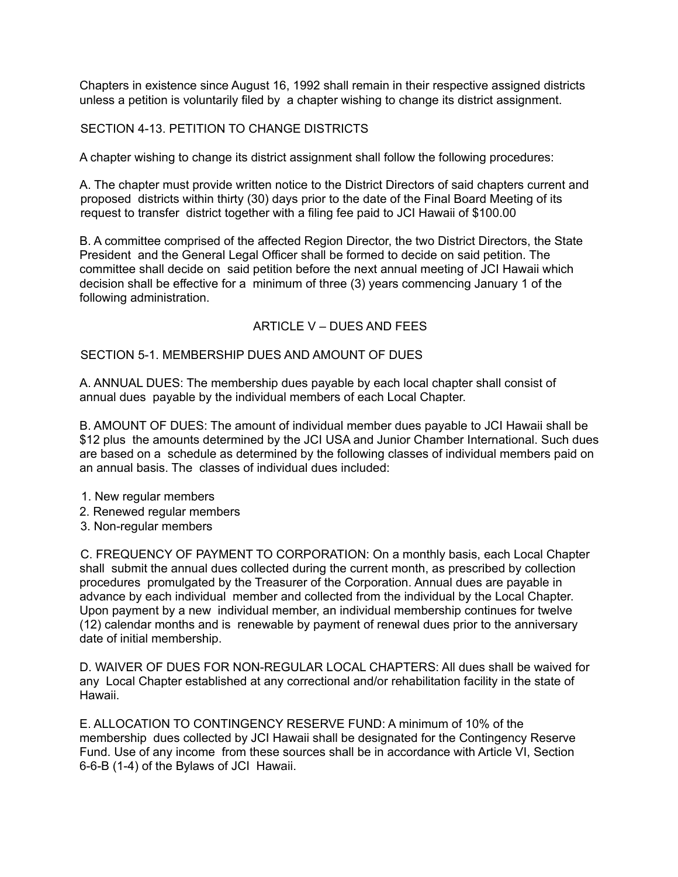Chapters in existence since August 16, 1992 shall remain in their respective assigned districts unless a petition is voluntarily filed by a chapter wishing to change its district assignment.

# SECTION 4-13. PETITION TO CHANGE DISTRICTS

A chapter wishing to change its district assignment shall follow the following procedures:

A. The chapter must provide written notice to the District Directors of said chapters current and proposed districts within thirty (30) days prior to the date of the Final Board Meeting of its request to transfer district together with a filing fee paid to JCI Hawaii of \$100.00

B. A committee comprised of the affected Region Director, the two District Directors, the State President and the General Legal Officer shall be formed to decide on said petition. The committee shall decide on said petition before the next annual meeting of JCI Hawaii which decision shall be effective for a minimum of three (3) years commencing January 1 of the following administration.

# ARTICLE V – DUES AND FEES

### SECTION 5-1. MEMBERSHIP DUES AND AMOUNT OF DUES

A. ANNUAL DUES: The membership dues payable by each local chapter shall consist of annual dues payable by the individual members of each Local Chapter.

B. AMOUNT OF DUES: The amount of individual member dues payable to JCI Hawaii shall be \$12 plus the amounts determined by the JCI USA and Junior Chamber International. Such dues are based on a schedule as determined by the following classes of individual members paid on an annual basis. The classes of individual dues included:

- 1. New regular members
- 2. Renewed regular members
- 3. Non-regular members

C. FREQUENCY OF PAYMENT TO CORPORATION: On a monthly basis, each Local Chapter shall submit the annual dues collected during the current month, as prescribed by collection procedures promulgated by the Treasurer of the Corporation. Annual dues are payable in advance by each individual member and collected from the individual by the Local Chapter. Upon payment by a new individual member, an individual membership continues for twelve (12) calendar months and is renewable by payment of renewal dues prior to the anniversary date of initial membership.

D. WAIVER OF DUES FOR NON-REGULAR LOCAL CHAPTERS: All dues shall be waived for any Local Chapter established at any correctional and/or rehabilitation facility in the state of Hawaii.

E. ALLOCATION TO CONTINGENCY RESERVE FUND: A minimum of 10% of the membership dues collected by JCI Hawaii shall be designated for the Contingency Reserve Fund. Use of any income from these sources shall be in accordance with Article VI, Section 6-6-B (1-4) of the Bylaws of JCI Hawaii.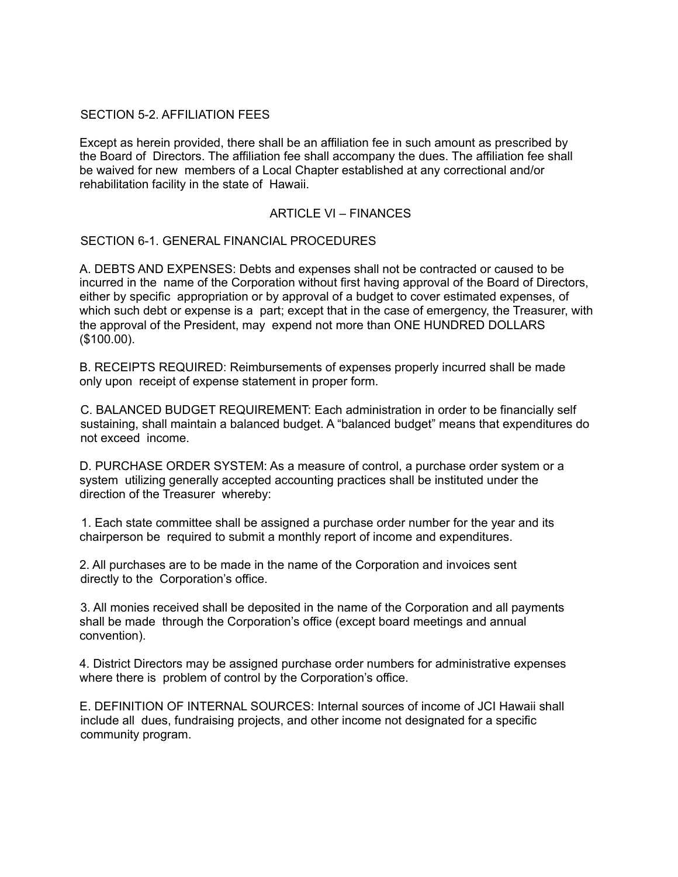## SECTION 5-2. AFFILIATION FEES

Except as herein provided, there shall be an affiliation fee in such amount as prescribed by the Board of Directors. The affiliation fee shall accompany the dues. The affiliation fee shall be waived for new members of a Local Chapter established at any correctional and/or rehabilitation facility in the state of Hawaii.

### ARTICLE VI – FINANCES

SECTION 6-1. GENERAL FINANCIAL PROCEDURES

A. DEBTS AND EXPENSES: Debts and expenses shall not be contracted or caused to be incurred in the name of the Corporation without first having approval of the Board of Directors, either by specific appropriation or by approval of a budget to cover estimated expenses, of which such debt or expense is a part; except that in the case of emergency, the Treasurer, with the approval of the President, may expend not more than ONE HUNDRED DOLLARS (\$100.00).

B. RECEIPTS REQUIRED: Reimbursements of expenses properly incurred shall be made only upon receipt of expense statement in proper form.

C. BALANCED BUDGET REQUIREMENT: Each administration in order to be financially self sustaining, shall maintain a balanced budget. A "balanced budget" means that expenditures do not exceed income.

D. PURCHASE ORDER SYSTEM: As a measure of control, a purchase order system or a system utilizing generally accepted accounting practices shall be instituted under the direction of the Treasurer whereby:

1. Each state committee shall be assigned a purchase order number for the year and its chairperson be required to submit a monthly report of income and expenditures.

2. All purchases are to be made in the name of the Corporation and invoices sent directly to the Corporation's office.

3. All monies received shall be deposited in the name of the Corporation and all payments shall be made through the Corporation's office (except board meetings and annual convention).

4. District Directors may be assigned purchase order numbers for administrative expenses where there is problem of control by the Corporation's office.

E. DEFINITION OF INTERNAL SOURCES: Internal sources of income of JCI Hawaii shall include all dues, fundraising projects, and other income not designated for a specific community program.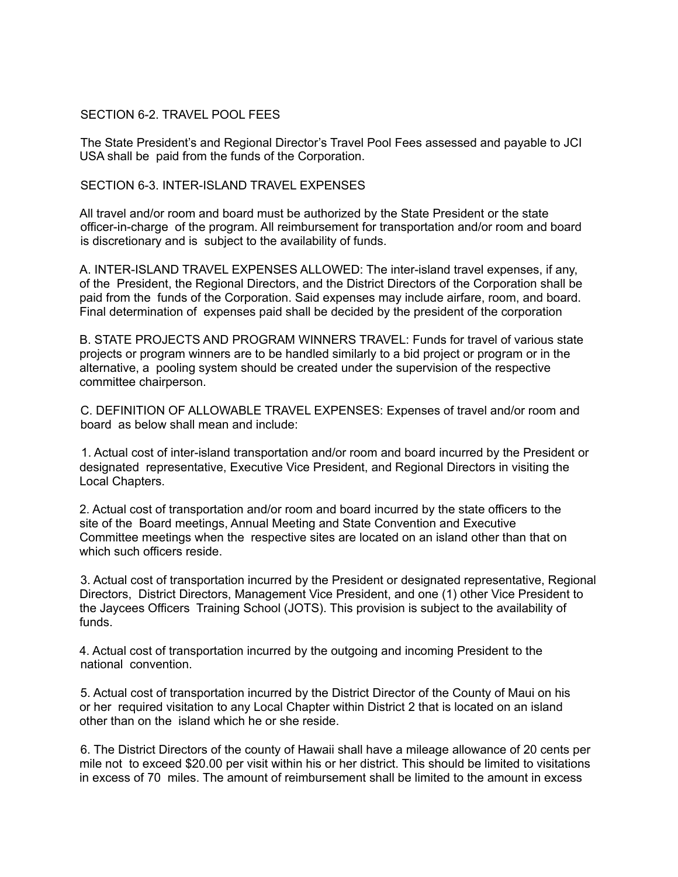### SECTION 6-2. TRAVEL POOL FEES

The State President's and Regional Director's Travel Pool Fees assessed and payable to JCI USA shall be paid from the funds of the Corporation.

### SECTION 6-3. INTER-ISLAND TRAVEL EXPENSES

All travel and/or room and board must be authorized by the State President or the state officer-in-charge of the program. All reimbursement for transportation and/or room and board is discretionary and is subject to the availability of funds.

A. INTER-ISLAND TRAVEL EXPENSES ALLOWED: The inter-island travel expenses, if any, of the President, the Regional Directors, and the District Directors of the Corporation shall be paid from the funds of the Corporation. Said expenses may include airfare, room, and board. Final determination of expenses paid shall be decided by the president of the corporation

B. STATE PROJECTS AND PROGRAM WINNERS TRAVEL: Funds for travel of various state projects or program winners are to be handled similarly to a bid project or program or in the alternative, a pooling system should be created under the supervision of the respective committee chairperson.

C. DEFINITION OF ALLOWABLE TRAVEL EXPENSES: Expenses of travel and/or room and board as below shall mean and include:

1. Actual cost of inter-island transportation and/or room and board incurred by the President or designated representative, Executive Vice President, and Regional Directors in visiting the Local Chapters.

2. Actual cost of transportation and/or room and board incurred by the state officers to the site of the Board meetings, Annual Meeting and State Convention and Executive Committee meetings when the respective sites are located on an island other than that on which such officers reside.

3. Actual cost of transportation incurred by the President or designated representative, Regional Directors, District Directors, Management Vice President, and one (1) other Vice President to the Jaycees Officers Training School (JOTS). This provision is subject to the availability of funds.

4. Actual cost of transportation incurred by the outgoing and incoming President to the national convention.

5. Actual cost of transportation incurred by the District Director of the County of Maui on his or her required visitation to any Local Chapter within District 2 that is located on an island other than on the island which he or she reside.

6. The District Directors of the county of Hawaii shall have a mileage allowance of 20 cents per mile not to exceed \$20.00 per visit within his or her district. This should be limited to visitations in excess of 70 miles. The amount of reimbursement shall be limited to the amount in excess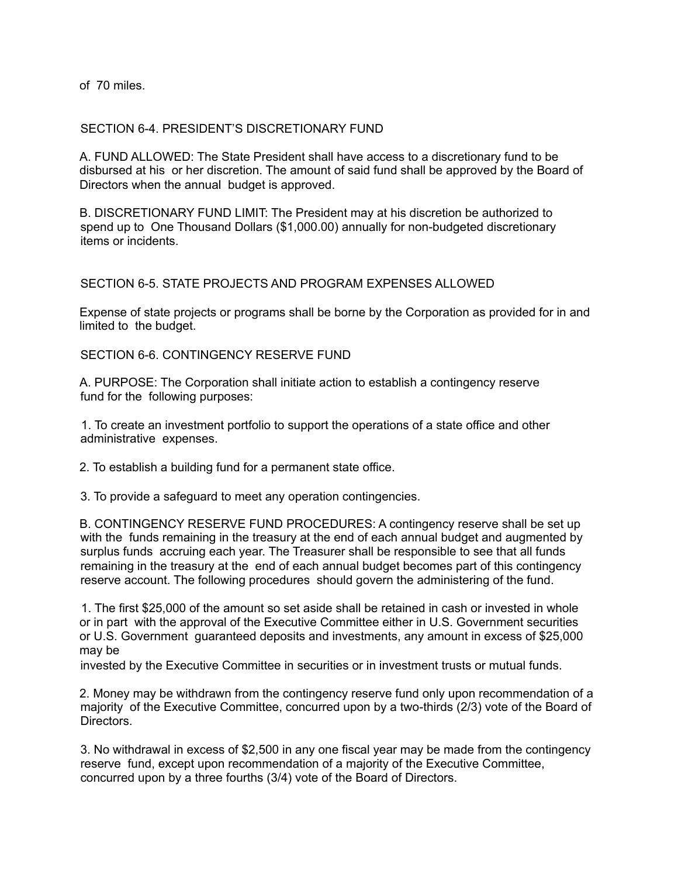of 70 miles.

## SECTION 6-4. PRESIDENT'S DISCRETIONARY FUND

A. FUND ALLOWED: The State President shall have access to a discretionary fund to be disbursed at his or her discretion. The amount of said fund shall be approved by the Board of Directors when the annual budget is approved.

B. DISCRETIONARY FUND LIMIT: The President may at his discretion be authorized to spend up to One Thousand Dollars (\$1,000.00) annually for non-budgeted discretionary items or incidents.

### SECTION 6-5. STATE PROJECTS AND PROGRAM EXPENSES ALLOWED

Expense of state projects or programs shall be borne by the Corporation as provided for in and limited to the budget.

SECTION 6-6. CONTINGENCY RESERVE FUND

A. PURPOSE: The Corporation shall initiate action to establish a contingency reserve fund for the following purposes:

1. To create an investment portfolio to support the operations of a state office and other administrative expenses.

2. To establish a building fund for a permanent state office.

3. To provide a safeguard to meet any operation contingencies.

B. CONTINGENCY RESERVE FUND PROCEDURES: A contingency reserve shall be set up with the funds remaining in the treasury at the end of each annual budget and augmented by surplus funds accruing each year. The Treasurer shall be responsible to see that all funds remaining in the treasury at the end of each annual budget becomes part of this contingency reserve account. The following procedures should govern the administering of the fund.

1. The first \$25,000 of the amount so set aside shall be retained in cash or invested in whole or in part with the approval of the Executive Committee either in U.S. Government securities or U.S. Government guaranteed deposits and investments, any amount in excess of \$25,000 may be

invested by the Executive Committee in securities or in investment trusts or mutual funds.

2. Money may be withdrawn from the contingency reserve fund only upon recommendation of a majority of the Executive Committee, concurred upon by a two-thirds (2/3) vote of the Board of **Directors** 

3. No withdrawal in excess of \$2,500 in any one fiscal year may be made from the contingency reserve fund, except upon recommendation of a majority of the Executive Committee, concurred upon by a three fourths (3/4) vote of the Board of Directors.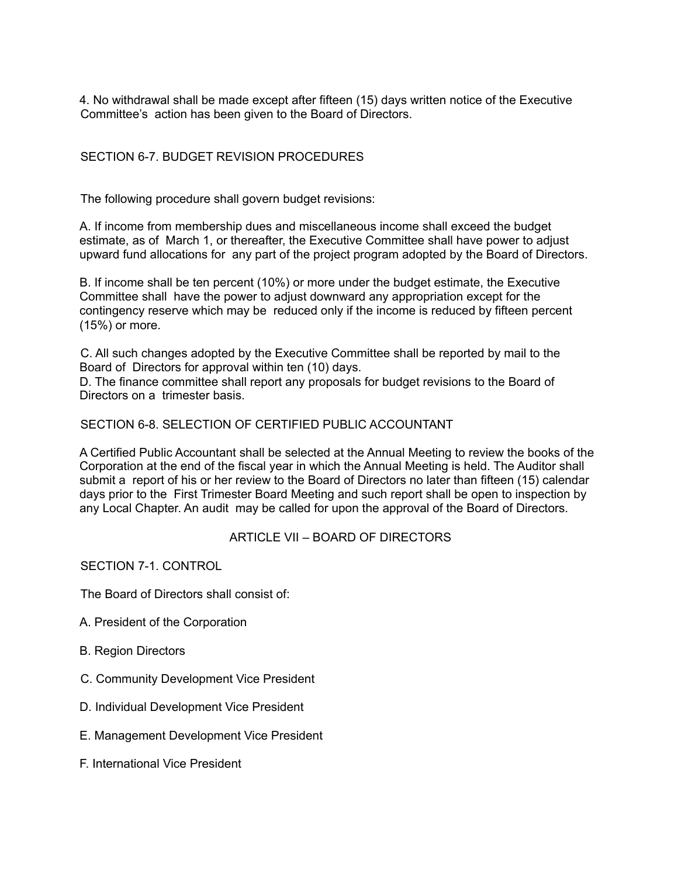4. No withdrawal shall be made except after fifteen (15) days written notice of the Executive Committee's action has been given to the Board of Directors.

# SECTION 6-7. BUDGET REVISION PROCEDURES

The following procedure shall govern budget revisions:

A. If income from membership dues and miscellaneous income shall exceed the budget estimate, as of March 1, or thereafter, the Executive Committee shall have power to adjust upward fund allocations for any part of the project program adopted by the Board of Directors.

B. If income shall be ten percent (10%) or more under the budget estimate, the Executive Committee shall have the power to adjust downward any appropriation except for the contingency reserve which may be reduced only if the income is reduced by fifteen percent (15%) or more.

C. All such changes adopted by the Executive Committee shall be reported by mail to the Board of Directors for approval within ten (10) days.

D. The finance committee shall report any proposals for budget revisions to the Board of Directors on a trimester basis.

#### SECTION 6-8. SELECTION OF CERTIFIED PUBLIC ACCOUNTANT

A Certified Public Accountant shall be selected at the Annual Meeting to review the books of the Corporation at the end of the fiscal year in which the Annual Meeting is held. The Auditor shall submit a report of his or her review to the Board of Directors no later than fifteen (15) calendar days prior to the First Trimester Board Meeting and such report shall be open to inspection by any Local Chapter. An audit may be called for upon the approval of the Board of Directors.

### ARTICLE VII – BOARD OF DIRECTORS

SECTION 7-1. CONTROL

The Board of Directors shall consist of:

- A. President of the Corporation
- B. Region Directors
- C. Community Development Vice President
- D. Individual Development Vice President
- E. Management Development Vice President
- F. International Vice President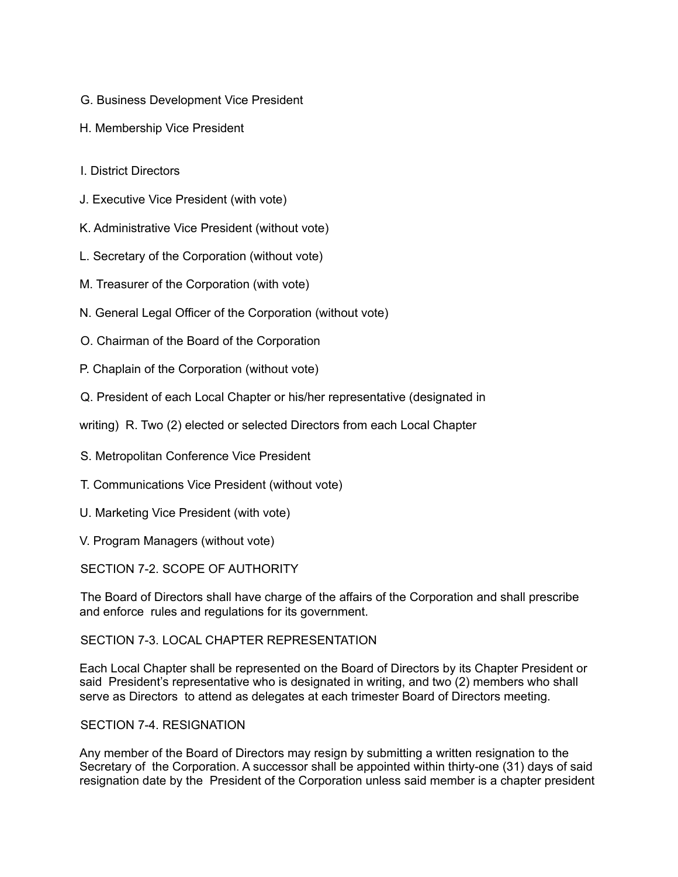- G. Business Development Vice President
- H. Membership Vice President
- I. District Directors
- J. Executive Vice President (with vote)
- K. Administrative Vice President (without vote)
- L. Secretary of the Corporation (without vote)
- M. Treasurer of the Corporation (with vote)
- N. General Legal Officer of the Corporation (without vote)
- O. Chairman of the Board of the Corporation
- P. Chaplain of the Corporation (without vote)
- Q. President of each Local Chapter or his/her representative (designated in
- writing) R. Two (2) elected or selected Directors from each Local Chapter
- S. Metropolitan Conference Vice President
- T. Communications Vice President (without vote)
- U. Marketing Vice President (with vote)
- V. Program Managers (without vote)

SECTION 7-2. SCOPE OF AUTHORITY

The Board of Directors shall have charge of the affairs of the Corporation and shall prescribe and enforce rules and regulations for its government.

# SECTION 7-3. LOCAL CHAPTER REPRESENTATION

Each Local Chapter shall be represented on the Board of Directors by its Chapter President or said President's representative who is designated in writing, and two (2) members who shall serve as Directors to attend as delegates at each trimester Board of Directors meeting.

# SECTION 7-4. RESIGNATION

Any member of the Board of Directors may resign by submitting a written resignation to the Secretary of the Corporation. A successor shall be appointed within thirty-one (31) days of said resignation date by the President of the Corporation unless said member is a chapter president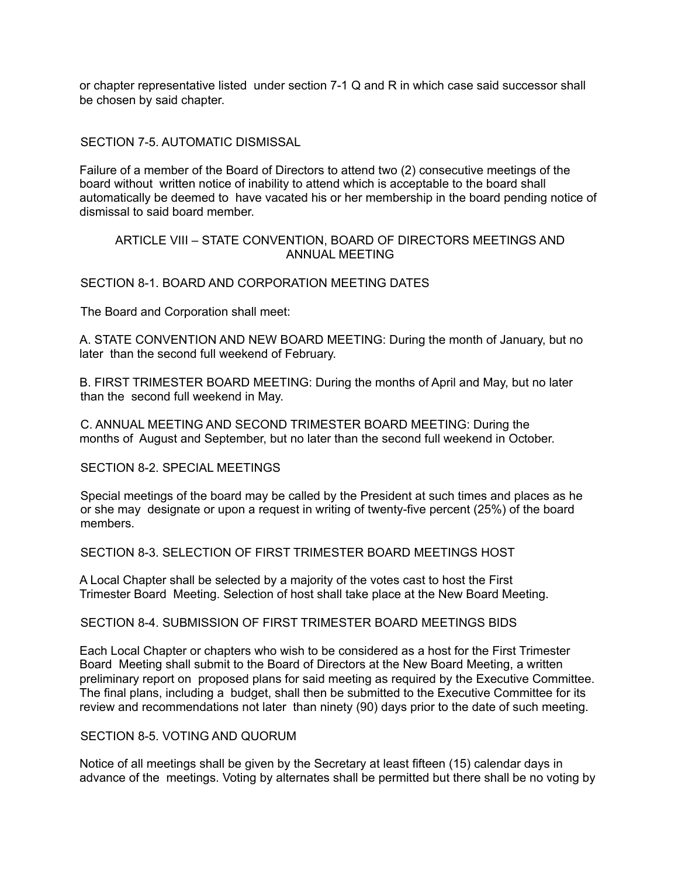or chapter representative listed under section 7-1 Q and R in which case said successor shall be chosen by said chapter.

## SECTION 7-5. AUTOMATIC DISMISSAL

Failure of a member of the Board of Directors to attend two (2) consecutive meetings of the board without written notice of inability to attend which is acceptable to the board shall automatically be deemed to have vacated his or her membership in the board pending notice of dismissal to said board member.

### ARTICLE VIII – STATE CONVENTION, BOARD OF DIRECTORS MEETINGS AND ANNUAL MEETING

### SECTION 8-1. BOARD AND CORPORATION MEETING DATES

The Board and Corporation shall meet:

A. STATE CONVENTION AND NEW BOARD MEETING: During the month of January, but no later than the second full weekend of February.

B. FIRST TRIMESTER BOARD MEETING: During the months of April and May, but no later than the second full weekend in May.

C. ANNUAL MEETING AND SECOND TRIMESTER BOARD MEETING: During the months of August and September, but no later than the second full weekend in October.

SECTION 8-2. SPECIAL MEETINGS

Special meetings of the board may be called by the President at such times and places as he or she may designate or upon a request in writing of twenty-five percent (25%) of the board members.

SECTION 8-3. SELECTION OF FIRST TRIMESTER BOARD MEETINGS HOST

A Local Chapter shall be selected by a majority of the votes cast to host the First Trimester Board Meeting. Selection of host shall take place at the New Board Meeting.

SECTION 8-4. SUBMISSION OF FIRST TRIMESTER BOARD MEETINGS BIDS

Each Local Chapter or chapters who wish to be considered as a host for the First Trimester Board Meeting shall submit to the Board of Directors at the New Board Meeting, a written preliminary report on proposed plans for said meeting as required by the Executive Committee. The final plans, including a budget, shall then be submitted to the Executive Committee for its review and recommendations not later than ninety (90) days prior to the date of such meeting.

### SECTION 8-5. VOTING AND QUORUM

Notice of all meetings shall be given by the Secretary at least fifteen (15) calendar days in advance of the meetings. Voting by alternates shall be permitted but there shall be no voting by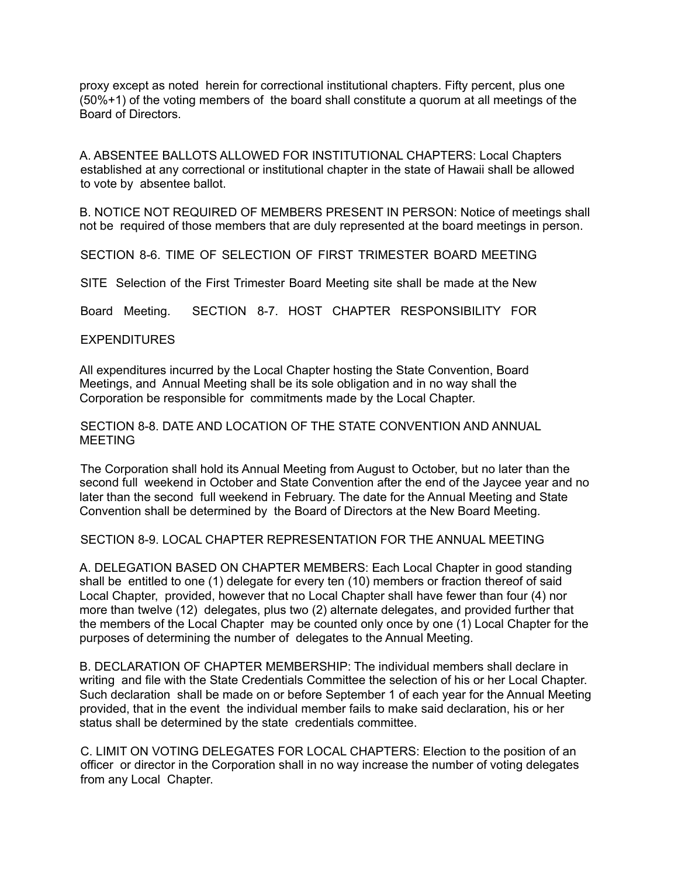proxy except as noted herein for correctional institutional chapters. Fifty percent, plus one (50%+1) of the voting members of the board shall constitute a quorum at all meetings of the Board of Directors.

A. ABSENTEE BALLOTS ALLOWED FOR INSTITUTIONAL CHAPTERS: Local Chapters established at any correctional or institutional chapter in the state of Hawaii shall be allowed to vote by absentee ballot.

B. NOTICE NOT REQUIRED OF MEMBERS PRESENT IN PERSON: Notice of meetings shall not be required of those members that are duly represented at the board meetings in person.

SECTION 8-6. TIME OF SELECTION OF FIRST TRIMESTER BOARD MEETING

SITE Selection of the First Trimester Board Meeting site shall be made at the New

Board Meeting. SECTION 8-7. HOST CHAPTER RESPONSIBILITY FOR

#### EXPENDITURES

All expenditures incurred by the Local Chapter hosting the State Convention, Board Meetings, and Annual Meeting shall be its sole obligation and in no way shall the Corporation be responsible for commitments made by the Local Chapter.

SECTION 8-8. DATE AND LOCATION OF THE STATE CONVENTION AND ANNUAL **MEETING** 

The Corporation shall hold its Annual Meeting from August to October, but no later than the second full weekend in October and State Convention after the end of the Jaycee year and no later than the second full weekend in February. The date for the Annual Meeting and State Convention shall be determined by the Board of Directors at the New Board Meeting.

SECTION 8-9. LOCAL CHAPTER REPRESENTATION FOR THE ANNUAL MEETING

A. DELEGATION BASED ON CHAPTER MEMBERS: Each Local Chapter in good standing shall be entitled to one (1) delegate for every ten (10) members or fraction thereof of said Local Chapter, provided, however that no Local Chapter shall have fewer than four (4) nor more than twelve (12) delegates, plus two (2) alternate delegates, and provided further that the members of the Local Chapter may be counted only once by one (1) Local Chapter for the purposes of determining the number of delegates to the Annual Meeting.

B. DECLARATION OF CHAPTER MEMBERSHIP: The individual members shall declare in writing and file with the State Credentials Committee the selection of his or her Local Chapter. Such declaration shall be made on or before September 1 of each year for the Annual Meeting provided, that in the event the individual member fails to make said declaration, his or her status shall be determined by the state credentials committee.

C. LIMIT ON VOTING DELEGATES FOR LOCAL CHAPTERS: Election to the position of an officer or director in the Corporation shall in no way increase the number of voting delegates from any Local Chapter.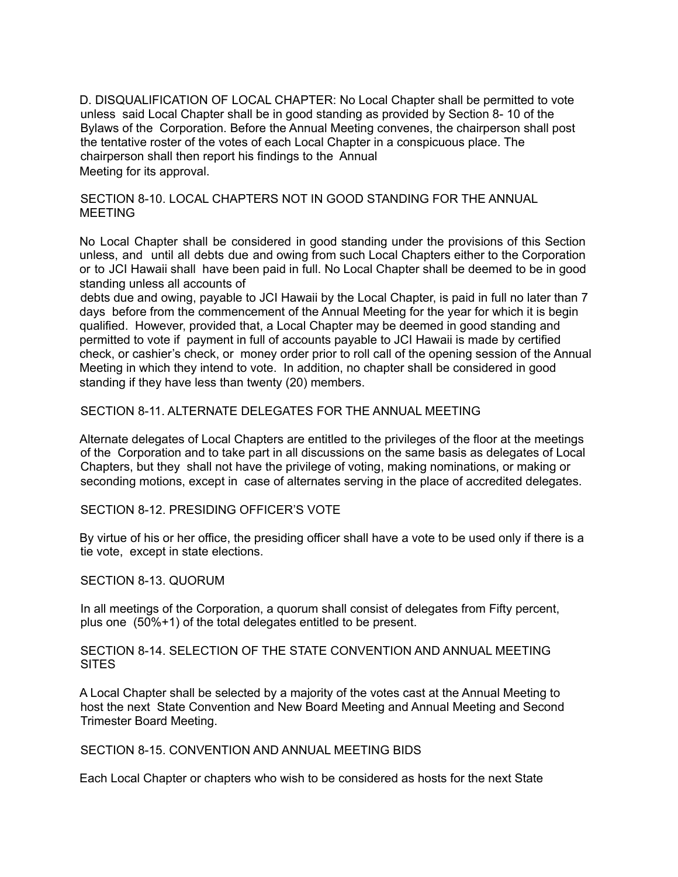D. DISQUALIFICATION OF LOCAL CHAPTER: No Local Chapter shall be permitted to vote unless said Local Chapter shall be in good standing as provided by Section 8- 10 of the Bylaws of the Corporation. Before the Annual Meeting convenes, the chairperson shall post the tentative roster of the votes of each Local Chapter in a conspicuous place. The chairperson shall then report his findings to the Annual Meeting for its approval.

SECTION 8-10. LOCAL CHAPTERS NOT IN GOOD STANDING FOR THE ANNUAL MEETING

No Local Chapter shall be considered in good standing under the provisions of this Section unless, and until all debts due and owing from such Local Chapters either to the Corporation or to JCI Hawaii shall have been paid in full. No Local Chapter shall be deemed to be in good standing unless all accounts of

debts due and owing, payable to JCI Hawaii by the Local Chapter, is paid in full no later than 7 days before from the commencement of the Annual Meeting for the year for which it is begin qualified. However, provided that, a Local Chapter may be deemed in good standing and permitted to vote if payment in full of accounts payable to JCI Hawaii is made by certified check, or cashier's check, or money order prior to roll call of the opening session of the Annual Meeting in which they intend to vote. In addition, no chapter shall be considered in good standing if they have less than twenty (20) members.

SECTION 8-11. ALTERNATE DELEGATES FOR THE ANNUAL MEETING

Alternate delegates of Local Chapters are entitled to the privileges of the floor at the meetings of the Corporation and to take part in all discussions on the same basis as delegates of Local Chapters, but they shall not have the privilege of voting, making nominations, or making or seconding motions, except in case of alternates serving in the place of accredited delegates.

SECTION 8-12. PRESIDING OFFICER'S VOTE

By virtue of his or her office, the presiding officer shall have a vote to be used only if there is a tie vote, except in state elections.

SECTION 8-13. QUORUM

In all meetings of the Corporation, a quorum shall consist of delegates from Fifty percent, plus one (50%+1) of the total delegates entitled to be present.

SECTION 8-14. SELECTION OF THE STATE CONVENTION AND ANNUAL MEETING **SITES** 

A Local Chapter shall be selected by a majority of the votes cast at the Annual Meeting to host the next State Convention and New Board Meeting and Annual Meeting and Second Trimester Board Meeting.

SECTION 8-15. CONVENTION AND ANNUAL MEETING BIDS

Each Local Chapter or chapters who wish to be considered as hosts for the next State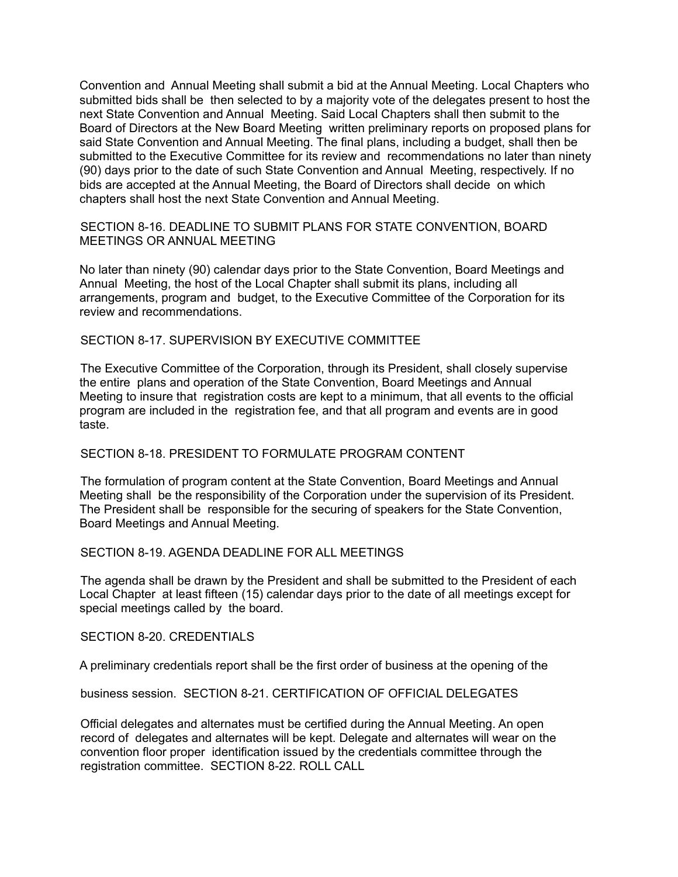Convention and Annual Meeting shall submit a bid at the Annual Meeting. Local Chapters who submitted bids shall be then selected to by a majority vote of the delegates present to host the next State Convention and Annual Meeting. Said Local Chapters shall then submit to the Board of Directors at the New Board Meeting written preliminary reports on proposed plans for said State Convention and Annual Meeting. The final plans, including a budget, shall then be submitted to the Executive Committee for its review and recommendations no later than ninety (90) days prior to the date of such State Convention and Annual Meeting, respectively. If no bids are accepted at the Annual Meeting, the Board of Directors shall decide on which chapters shall host the next State Convention and Annual Meeting.

SECTION 8-16. DEADLINE TO SUBMIT PLANS FOR STATE CONVENTION, BOARD MEETINGS OR ANNUAL MEETING

No later than ninety (90) calendar days prior to the State Convention, Board Meetings and Annual Meeting, the host of the Local Chapter shall submit its plans, including all arrangements, program and budget, to the Executive Committee of the Corporation for its review and recommendations.

#### SECTION 8-17. SUPERVISION BY EXECUTIVE COMMITTEE

The Executive Committee of the Corporation, through its President, shall closely supervise the entire plans and operation of the State Convention, Board Meetings and Annual Meeting to insure that registration costs are kept to a minimum, that all events to the official program are included in the registration fee, and that all program and events are in good taste.

### SECTION 8-18. PRESIDENT TO FORMULATE PROGRAM CONTENT

The formulation of program content at the State Convention, Board Meetings and Annual Meeting shall be the responsibility of the Corporation under the supervision of its President. The President shall be responsible for the securing of speakers for the State Convention, Board Meetings and Annual Meeting.

### SECTION 8-19. AGENDA DEADLINE FOR ALL MEETINGS

The agenda shall be drawn by the President and shall be submitted to the President of each Local Chapter at least fifteen (15) calendar days prior to the date of all meetings except for special meetings called by the board.

SECTION 8-20. CREDENTIALS

A preliminary credentials report shall be the first order of business at the opening of the

business session. SECTION 8-21. CERTIFICATION OF OFFICIAL DELEGATES

Official delegates and alternates must be certified during the Annual Meeting. An open record of delegates and alternates will be kept. Delegate and alternates will wear on the convention floor proper identification issued by the credentials committee through the registration committee. SECTION 8-22. ROLL CALL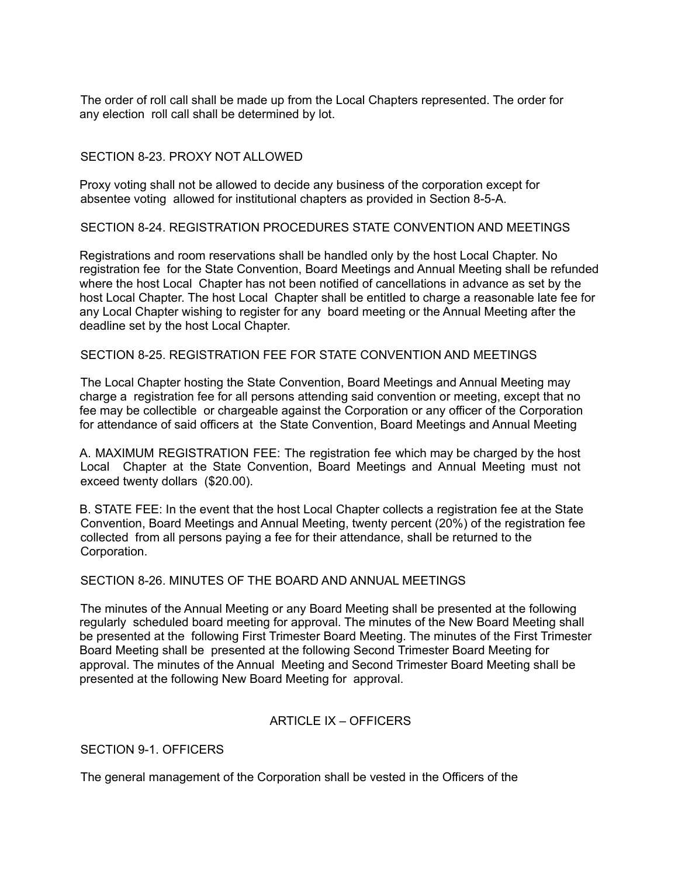The order of roll call shall be made up from the Local Chapters represented. The order for any election roll call shall be determined by lot.

### SECTION 8-23. PROXY NOT ALLOWED

Proxy voting shall not be allowed to decide any business of the corporation except for absentee voting allowed for institutional chapters as provided in Section 8-5-A.

SECTION 8-24. REGISTRATION PROCEDURES STATE CONVENTION AND MEETINGS

Registrations and room reservations shall be handled only by the host Local Chapter. No registration fee for the State Convention, Board Meetings and Annual Meeting shall be refunded where the host Local Chapter has not been notified of cancellations in advance as set by the host Local Chapter. The host Local Chapter shall be entitled to charge a reasonable late fee for any Local Chapter wishing to register for any board meeting or the Annual Meeting after the deadline set by the host Local Chapter.

SECTION 8-25. REGISTRATION FEE FOR STATE CONVENTION AND MEETINGS

The Local Chapter hosting the State Convention, Board Meetings and Annual Meeting may charge a registration fee for all persons attending said convention or meeting, except that no fee may be collectible or chargeable against the Corporation or any officer of the Corporation for attendance of said officers at the State Convention, Board Meetings and Annual Meeting

A. MAXIMUM REGISTRATION FEE: The registration fee which may be charged by the host Local Chapter at the State Convention, Board Meetings and Annual Meeting must not exceed twenty dollars (\$20.00).

B. STATE FEE: In the event that the host Local Chapter collects a registration fee at the State Convention, Board Meetings and Annual Meeting, twenty percent (20%) of the registration fee collected from all persons paying a fee for their attendance, shall be returned to the Corporation.

# SECTION 8-26. MINUTES OF THE BOARD AND ANNUAL MEETINGS

The minutes of the Annual Meeting or any Board Meeting shall be presented at the following regularly scheduled board meeting for approval. The minutes of the New Board Meeting shall be presented at the following First Trimester Board Meeting. The minutes of the First Trimester Board Meeting shall be presented at the following Second Trimester Board Meeting for approval. The minutes of the Annual Meeting and Second Trimester Board Meeting shall be presented at the following New Board Meeting for approval.

### ARTICLE IX – OFFICERS

SECTION 9-1. OFFICERS

The general management of the Corporation shall be vested in the Officers of the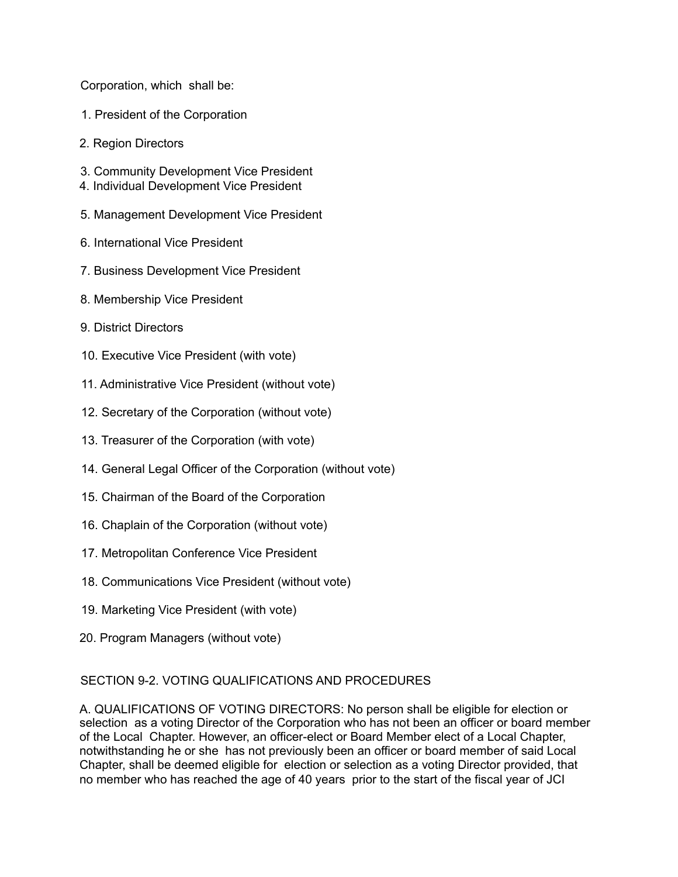Corporation, which shall be:

- 1. President of the Corporation
- 2. Region Directors
- 3. Community Development Vice President
- 4. Individual Development Vice President
- 5. Management Development Vice President
- 6. International Vice President
- 7. Business Development Vice President
- 8. Membership Vice President
- 9. District Directors
- 10. Executive Vice President (with vote)
- 11. Administrative Vice President (without vote)
- 12. Secretary of the Corporation (without vote)
- 13. Treasurer of the Corporation (with vote)
- 14. General Legal Officer of the Corporation (without vote)
- 15. Chairman of the Board of the Corporation
- 16. Chaplain of the Corporation (without vote)
- 17. Metropolitan Conference Vice President
- 18. Communications Vice President (without vote)
- 19. Marketing Vice President (with vote)
- 20. Program Managers (without vote)

# SECTION 9-2. VOTING QUALIFICATIONS AND PROCEDURES

A. QUALIFICATIONS OF VOTING DIRECTORS: No person shall be eligible for election or selection as a voting Director of the Corporation who has not been an officer or board member of the Local Chapter. However, an officer-elect or Board Member elect of a Local Chapter, notwithstanding he or she has not previously been an officer or board member of said Local Chapter, shall be deemed eligible for election or selection as a voting Director provided, that no member who has reached the age of 40 years prior to the start of the fiscal year of JCI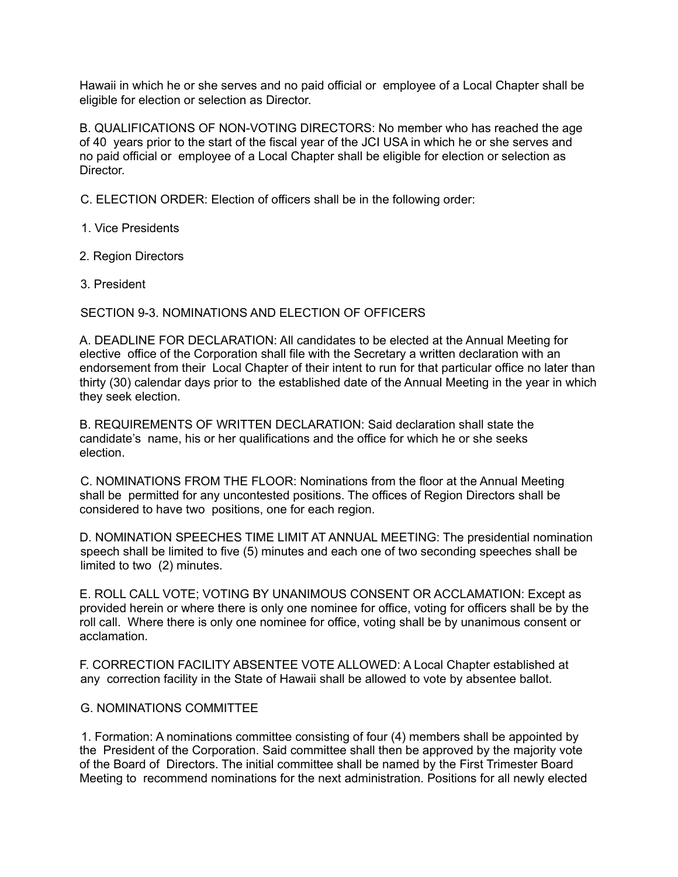Hawaii in which he or she serves and no paid official or employee of a Local Chapter shall be eligible for election or selection as Director.

B. QUALIFICATIONS OF NON-VOTING DIRECTORS: No member who has reached the age of 40 years prior to the start of the fiscal year of the JCI USA in which he or she serves and no paid official or employee of a Local Chapter shall be eligible for election or selection as **Director** 

C. ELECTION ORDER: Election of officers shall be in the following order:

1. Vice Presidents

- 2. Region Directors
- 3. President

SECTION 9-3. NOMINATIONS AND ELECTION OF OFFICERS

A. DEADLINE FOR DECLARATION: All candidates to be elected at the Annual Meeting for elective office of the Corporation shall file with the Secretary a written declaration with an endorsement from their Local Chapter of their intent to run for that particular office no later than thirty (30) calendar days prior to the established date of the Annual Meeting in the year in which they seek election.

B. REQUIREMENTS OF WRITTEN DECLARATION: Said declaration shall state the candidate's name, his or her qualifications and the office for which he or she seeks election.

C. NOMINATIONS FROM THE FLOOR: Nominations from the floor at the Annual Meeting shall be permitted for any uncontested positions. The offices of Region Directors shall be considered to have two positions, one for each region.

D. NOMINATION SPEECHES TIME LIMIT AT ANNUAL MEETING: The presidential nomination speech shall be limited to five (5) minutes and each one of two seconding speeches shall be limited to two (2) minutes.

E. ROLL CALL VOTE; VOTING BY UNANIMOUS CONSENT OR ACCLAMATION: Except as provided herein or where there is only one nominee for office, voting for officers shall be by the roll call. Where there is only one nominee for office, voting shall be by unanimous consent or acclamation.

F. CORRECTION FACILITY ABSENTEE VOTE ALLOWED: A Local Chapter established at any correction facility in the State of Hawaii shall be allowed to vote by absentee ballot.

### G. NOMINATIONS COMMITTEE

1. Formation: A nominations committee consisting of four (4) members shall be appointed by the President of the Corporation. Said committee shall then be approved by the majority vote of the Board of Directors. The initial committee shall be named by the First Trimester Board Meeting to recommend nominations for the next administration. Positions for all newly elected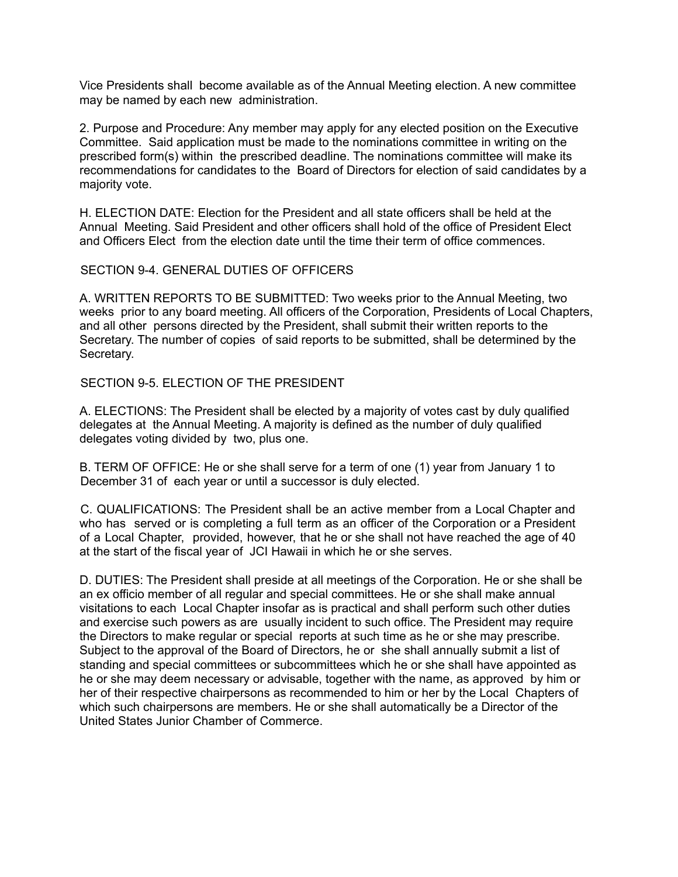Vice Presidents shall become available as of the Annual Meeting election. A new committee may be named by each new administration.

2. Purpose and Procedure: Any member may apply for any elected position on the Executive Committee. Said application must be made to the nominations committee in writing on the prescribed form(s) within the prescribed deadline. The nominations committee will make its recommendations for candidates to the Board of Directors for election of said candidates by a majority vote.

H. ELECTION DATE: Election for the President and all state officers shall be held at the Annual Meeting. Said President and other officers shall hold of the office of President Elect and Officers Elect from the election date until the time their term of office commences.

### SECTION 9-4. GENERAL DUTIES OF OFFICERS

A. WRITTEN REPORTS TO BE SUBMITTED: Two weeks prior to the Annual Meeting, two weeks prior to any board meeting. All officers of the Corporation, Presidents of Local Chapters, and all other persons directed by the President, shall submit their written reports to the Secretary. The number of copies of said reports to be submitted, shall be determined by the Secretary.

SECTION 9-5. ELECTION OF THE PRESIDENT

A. ELECTIONS: The President shall be elected by a majority of votes cast by duly qualified delegates at the Annual Meeting. A majority is defined as the number of duly qualified delegates voting divided by two, plus one.

B. TERM OF OFFICE: He or she shall serve for a term of one (1) year from January 1 to December 31 of each year or until a successor is duly elected.

C. QUALIFICATIONS: The President shall be an active member from a Local Chapter and who has served or is completing a full term as an officer of the Corporation or a President of a Local Chapter, provided, however, that he or she shall not have reached the age of 40 at the start of the fiscal year of JCI Hawaii in which he or she serves.

D. DUTIES: The President shall preside at all meetings of the Corporation. He or she shall be an ex officio member of all regular and special committees. He or she shall make annual visitations to each Local Chapter insofar as is practical and shall perform such other duties and exercise such powers as are usually incident to such office. The President may require the Directors to make regular or special reports at such time as he or she may prescribe. Subject to the approval of the Board of Directors, he or she shall annually submit a list of standing and special committees or subcommittees which he or she shall have appointed as he or she may deem necessary or advisable, together with the name, as approved by him or her of their respective chairpersons as recommended to him or her by the Local Chapters of which such chairpersons are members. He or she shall automatically be a Director of the United States Junior Chamber of Commerce.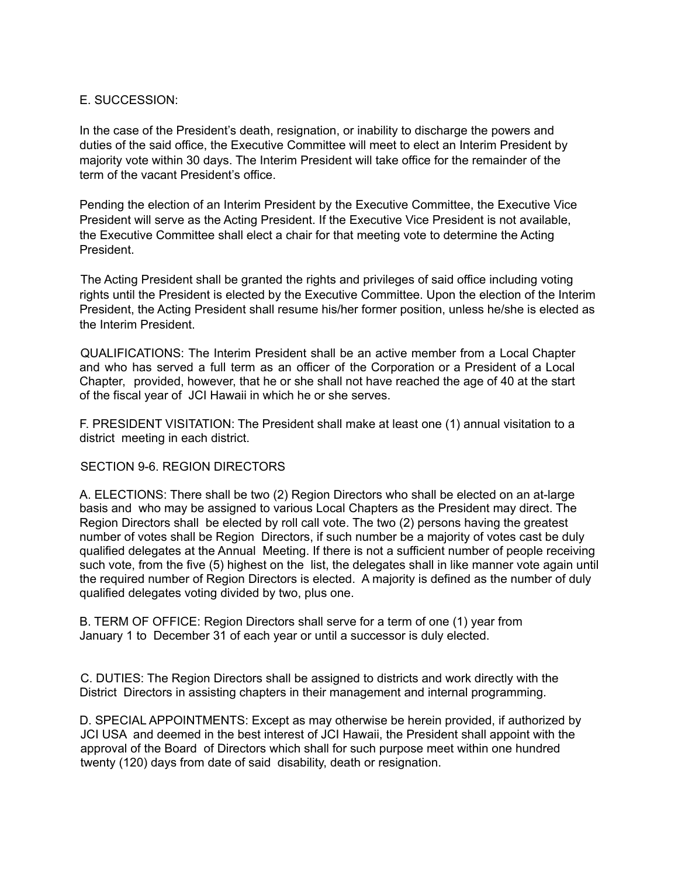# E. SUCCESSION:

In the case of the President's death, resignation, or inability to discharge the powers and duties of the said office, the Executive Committee will meet to elect an Interim President by majority vote within 30 days. The Interim President will take office for the remainder of the term of the vacant President's office.

Pending the election of an Interim President by the Executive Committee, the Executive Vice President will serve as the Acting President. If the Executive Vice President is not available, the Executive Committee shall elect a chair for that meeting vote to determine the Acting President.

The Acting President shall be granted the rights and privileges of said office including voting rights until the President is elected by the Executive Committee. Upon the election of the Interim President, the Acting President shall resume his/her former position, unless he/she is elected as the Interim President.

QUALIFICATIONS: The Interim President shall be an active member from a Local Chapter and who has served a full term as an officer of the Corporation or a President of a Local Chapter, provided, however, that he or she shall not have reached the age of 40 at the start of the fiscal year of JCI Hawaii in which he or she serves.

F. PRESIDENT VISITATION: The President shall make at least one (1) annual visitation to a district meeting in each district.

# SECTION 9-6. REGION DIRECTORS

A. ELECTIONS: There shall be two (2) Region Directors who shall be elected on an at-large basis and who may be assigned to various Local Chapters as the President may direct. The Region Directors shall be elected by roll call vote. The two (2) persons having the greatest number of votes shall be Region Directors, if such number be a majority of votes cast be duly qualified delegates at the Annual Meeting. If there is not a sufficient number of people receiving such vote, from the five (5) highest on the list, the delegates shall in like manner vote again until the required number of Region Directors is elected. A majority is defined as the number of duly qualified delegates voting divided by two, plus one.

B. TERM OF OFFICE: Region Directors shall serve for a term of one (1) year from January 1 to December 31 of each year or until a successor is duly elected.

C. DUTIES: The Region Directors shall be assigned to districts and work directly with the District Directors in assisting chapters in their management and internal programming.

D. SPECIAL APPOINTMENTS: Except as may otherwise be herein provided, if authorized by JCI USA and deemed in the best interest of JCI Hawaii, the President shall appoint with the approval of the Board of Directors which shall for such purpose meet within one hundred twenty (120) days from date of said disability, death or resignation.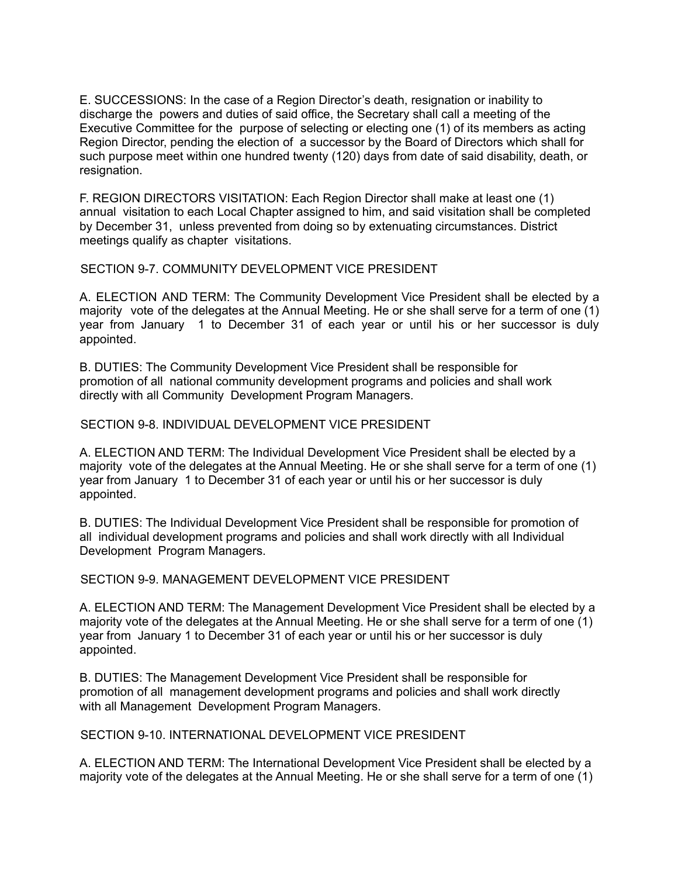E. SUCCESSIONS: In the case of a Region Director's death, resignation or inability to discharge the powers and duties of said office, the Secretary shall call a meeting of the Executive Committee for the purpose of selecting or electing one (1) of its members as acting Region Director, pending the election of a successor by the Board of Directors which shall for such purpose meet within one hundred twenty (120) days from date of said disability, death, or resignation.

F. REGION DIRECTORS VISITATION: Each Region Director shall make at least one (1) annual visitation to each Local Chapter assigned to him, and said visitation shall be completed by December 31, unless prevented from doing so by extenuating circumstances. District meetings qualify as chapter visitations.

### SECTION 9-7. COMMUNITY DEVELOPMENT VICE PRESIDENT

A. ELECTION AND TERM: The Community Development Vice President shall be elected by a majority vote of the delegates at the Annual Meeting. He or she shall serve for a term of one (1) year from January 1 to December 31 of each year or until his or her successor is duly appointed.

B. DUTIES: The Community Development Vice President shall be responsible for promotion of all national community development programs and policies and shall work directly with all Community Development Program Managers.

### SECTION 9-8. INDIVIDUAL DEVELOPMENT VICE PRESIDENT

A. ELECTION AND TERM: The Individual Development Vice President shall be elected by a majority vote of the delegates at the Annual Meeting. He or she shall serve for a term of one (1) year from January 1 to December 31 of each year or until his or her successor is duly appointed.

B. DUTIES: The Individual Development Vice President shall be responsible for promotion of all individual development programs and policies and shall work directly with all Individual Development Program Managers.

### SECTION 9-9. MANAGEMENT DEVELOPMENT VICE PRESIDENT

A. ELECTION AND TERM: The Management Development Vice President shall be elected by a majority vote of the delegates at the Annual Meeting. He or she shall serve for a term of one (1) year from January 1 to December 31 of each year or until his or her successor is duly appointed.

B. DUTIES: The Management Development Vice President shall be responsible for promotion of all management development programs and policies and shall work directly with all Management Development Program Managers.

# SECTION 9-10. INTERNATIONAL DEVELOPMENT VICE PRESIDENT

A. ELECTION AND TERM: The International Development Vice President shall be elected by a majority vote of the delegates at the Annual Meeting. He or she shall serve for a term of one (1)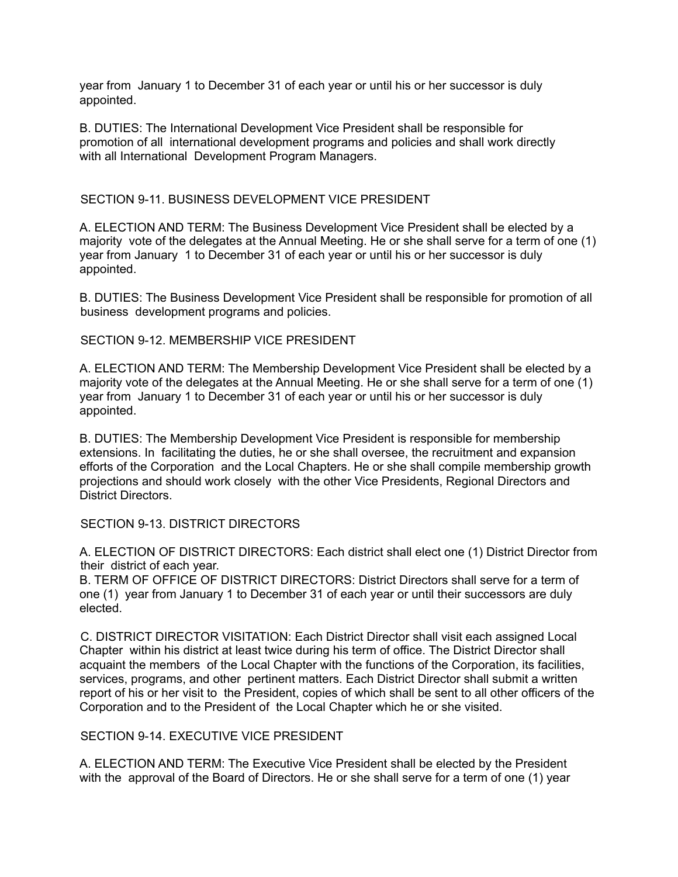year from January 1 to December 31 of each year or until his or her successor is duly appointed.

B. DUTIES: The International Development Vice President shall be responsible for promotion of all international development programs and policies and shall work directly with all International Development Program Managers.

### SECTION 9-11. BUSINESS DEVELOPMENT VICE PRESIDENT

A. ELECTION AND TERM: The Business Development Vice President shall be elected by a majority vote of the delegates at the Annual Meeting. He or she shall serve for a term of one (1) year from January 1 to December 31 of each year or until his or her successor is duly appointed.

B. DUTIES: The Business Development Vice President shall be responsible for promotion of all business development programs and policies.

SECTION 9-12. MEMBERSHIP VICE PRESIDENT

A. ELECTION AND TERM: The Membership Development Vice President shall be elected by a majority vote of the delegates at the Annual Meeting. He or she shall serve for a term of one (1) year from January 1 to December 31 of each year or until his or her successor is duly appointed.

B. DUTIES: The Membership Development Vice President is responsible for membership extensions. In facilitating the duties, he or she shall oversee, the recruitment and expansion efforts of the Corporation and the Local Chapters. He or she shall compile membership growth projections and should work closely with the other Vice Presidents, Regional Directors and District Directors.

SECTION 9-13. DISTRICT DIRECTORS

A. ELECTION OF DISTRICT DIRECTORS: Each district shall elect one (1) District Director from their district of each year.

B. TERM OF OFFICE OF DISTRICT DIRECTORS: District Directors shall serve for a term of one (1) year from January 1 to December 31 of each year or until their successors are duly elected.

C. DISTRICT DIRECTOR VISITATION: Each District Director shall visit each assigned Local Chapter within his district at least twice during his term of office. The District Director shall acquaint the members of the Local Chapter with the functions of the Corporation, its facilities, services, programs, and other pertinent matters. Each District Director shall submit a written report of his or her visit to the President, copies of which shall be sent to all other officers of the Corporation and to the President of the Local Chapter which he or she visited.

# SECTION 9-14. EXECUTIVE VICE PRESIDENT

A. ELECTION AND TERM: The Executive Vice President shall be elected by the President with the approval of the Board of Directors. He or she shall serve for a term of one (1) year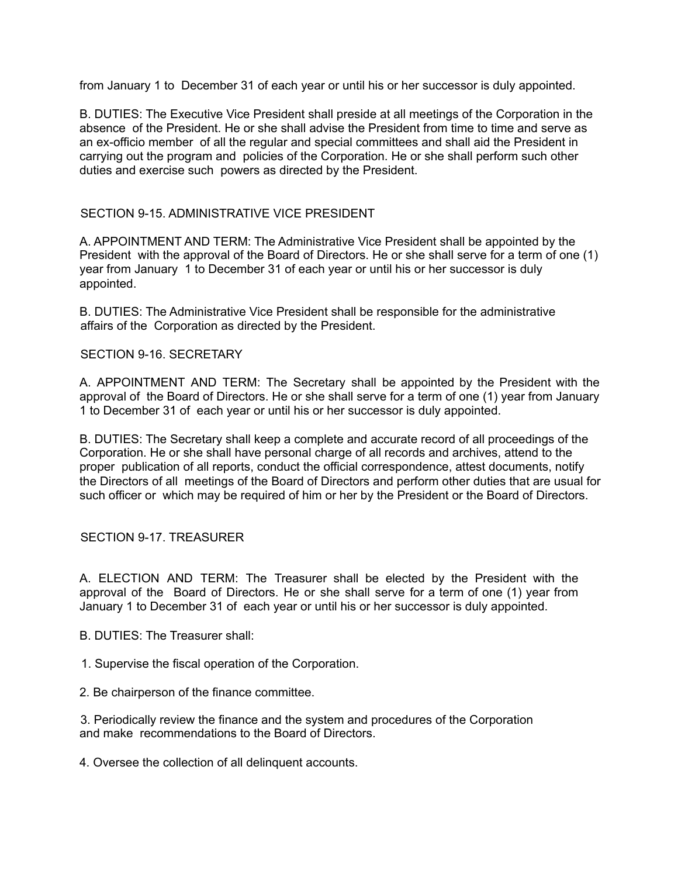from January 1 to December 31 of each year or until his or her successor is duly appointed.

B. DUTIES: The Executive Vice President shall preside at all meetings of the Corporation in the absence of the President. He or she shall advise the President from time to time and serve as an ex-officio member of all the regular and special committees and shall aid the President in carrying out the program and policies of the Corporation. He or she shall perform such other duties and exercise such powers as directed by the President.

# SECTION 9-15. ADMINISTRATIVE VICE PRESIDENT

A. APPOINTMENT AND TERM: The Administrative Vice President shall be appointed by the President with the approval of the Board of Directors. He or she shall serve for a term of one (1) year from January 1 to December 31 of each year or until his or her successor is duly appointed.

B. DUTIES: The Administrative Vice President shall be responsible for the administrative affairs of the Corporation as directed by the President.

### SECTION 9-16. SECRETARY

A. APPOINTMENT AND TERM: The Secretary shall be appointed by the President with the approval of the Board of Directors. He or she shall serve for a term of one (1) year from January 1 to December 31 of each year or until his or her successor is duly appointed.

B. DUTIES: The Secretary shall keep a complete and accurate record of all proceedings of the Corporation. He or she shall have personal charge of all records and archives, attend to the proper publication of all reports, conduct the official correspondence, attest documents, notify the Directors of all meetings of the Board of Directors and perform other duties that are usual for such officer or which may be required of him or her by the President or the Board of Directors.

### SECTION 9-17. TREASURER

A. ELECTION AND TERM: The Treasurer shall be elected by the President with the approval of the Board of Directors. He or she shall serve for a term of one (1) year from January 1 to December 31 of each year or until his or her successor is duly appointed.

- B. DUTIES: The Treasurer shall:
- 1. Supervise the fiscal operation of the Corporation.
- 2. Be chairperson of the finance committee.

3. Periodically review the finance and the system and procedures of the Corporation and make recommendations to the Board of Directors.

4. Oversee the collection of all delinquent accounts.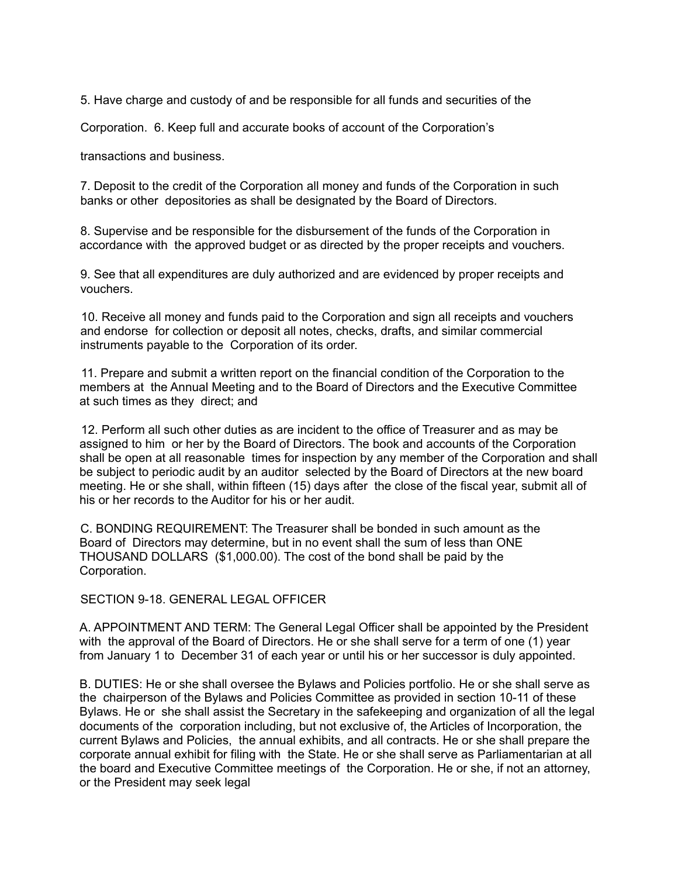5. Have charge and custody of and be responsible for all funds and securities of the

Corporation. 6. Keep full and accurate books of account of the Corporation's

transactions and business.

7. Deposit to the credit of the Corporation all money and funds of the Corporation in such banks or other depositories as shall be designated by the Board of Directors.

8. Supervise and be responsible for the disbursement of the funds of the Corporation in accordance with the approved budget or as directed by the proper receipts and vouchers.

9. See that all expenditures are duly authorized and are evidenced by proper receipts and vouchers.

10. Receive all money and funds paid to the Corporation and sign all receipts and vouchers and endorse for collection or deposit all notes, checks, drafts, and similar commercial instruments payable to the Corporation of its order.

11. Prepare and submit a written report on the financial condition of the Corporation to the members at the Annual Meeting and to the Board of Directors and the Executive Committee at such times as they direct; and

12. Perform all such other duties as are incident to the office of Treasurer and as may be assigned to him or her by the Board of Directors. The book and accounts of the Corporation shall be open at all reasonable times for inspection by any member of the Corporation and shall be subject to periodic audit by an auditor selected by the Board of Directors at the new board meeting. He or she shall, within fifteen (15) days after the close of the fiscal year, submit all of his or her records to the Auditor for his or her audit.

C. BONDING REQUIREMENT: The Treasurer shall be bonded in such amount as the Board of Directors may determine, but in no event shall the sum of less than ONE THOUSAND DOLLARS (\$1,000.00). The cost of the bond shall be paid by the Corporation.

SECTION 9-18. GENERAL LEGAL OFFICER

A. APPOINTMENT AND TERM: The General Legal Officer shall be appointed by the President with the approval of the Board of Directors. He or she shall serve for a term of one (1) year from January 1 to December 31 of each year or until his or her successor is duly appointed.

B. DUTIES: He or she shall oversee the Bylaws and Policies portfolio. He or she shall serve as the chairperson of the Bylaws and Policies Committee as provided in section 10-11 of these Bylaws. He or she shall assist the Secretary in the safekeeping and organization of all the legal documents of the corporation including, but not exclusive of, the Articles of Incorporation, the current Bylaws and Policies, the annual exhibits, and all contracts. He or she shall prepare the corporate annual exhibit for filing with the State. He or she shall serve as Parliamentarian at all the board and Executive Committee meetings of the Corporation. He or she, if not an attorney, or the President may seek legal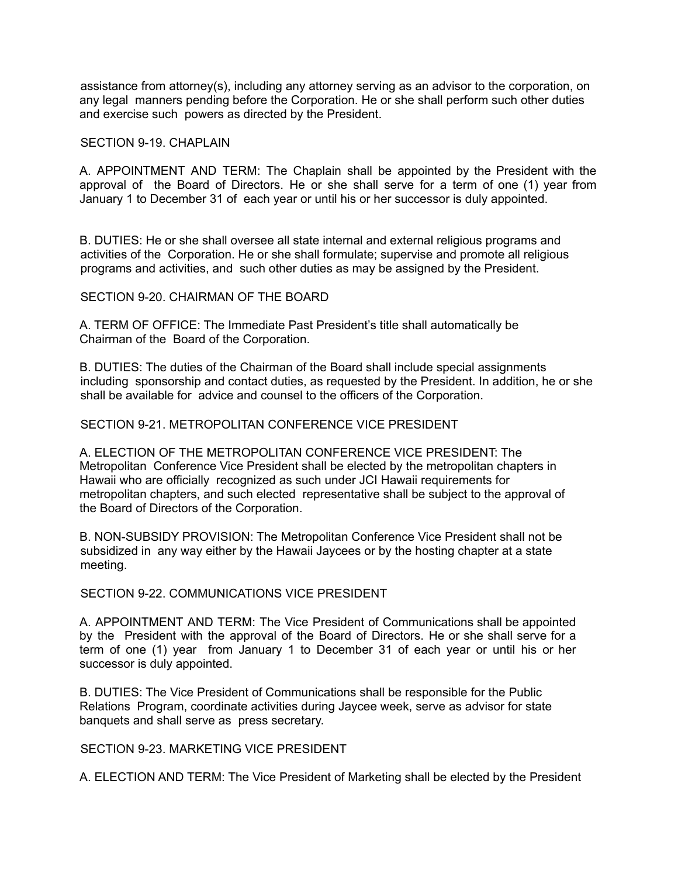assistance from attorney(s), including any attorney serving as an advisor to the corporation, on any legal manners pending before the Corporation. He or she shall perform such other duties and exercise such powers as directed by the President.

#### SECTION 9-19. CHAPLAIN

A. APPOINTMENT AND TERM: The Chaplain shall be appointed by the President with the approval of the Board of Directors. He or she shall serve for a term of one (1) year from January 1 to December 31 of each year or until his or her successor is duly appointed.

B. DUTIES: He or she shall oversee all state internal and external religious programs and activities of the Corporation. He or she shall formulate; supervise and promote all religious programs and activities, and such other duties as may be assigned by the President.

#### SECTION 9-20. CHAIRMAN OF THE BOARD

A. TERM OF OFFICE: The Immediate Past President's title shall automatically be Chairman of the Board of the Corporation.

B. DUTIES: The duties of the Chairman of the Board shall include special assignments including sponsorship and contact duties, as requested by the President. In addition, he or she shall be available for advice and counsel to the officers of the Corporation.

### SECTION 9-21 METROPOLITAN CONFERENCE VICE PRESIDENT

A. ELECTION OF THE METROPOLITAN CONFERENCE VICE PRESIDENT: The Metropolitan Conference Vice President shall be elected by the metropolitan chapters in Hawaii who are officially recognized as such under JCI Hawaii requirements for metropolitan chapters, and such elected representative shall be subject to the approval of the Board of Directors of the Corporation.

B. NON-SUBSIDY PROVISION: The Metropolitan Conference Vice President shall not be subsidized in any way either by the Hawaii Jaycees or by the hosting chapter at a state meeting.

### SECTION 9-22. COMMUNICATIONS VICE PRESIDENT

A. APPOINTMENT AND TERM: The Vice President of Communications shall be appointed by the President with the approval of the Board of Directors. He or she shall serve for a term of one (1) year from January 1 to December 31 of each year or until his or her successor is duly appointed.

B. DUTIES: The Vice President of Communications shall be responsible for the Public Relations Program, coordinate activities during Jaycee week, serve as advisor for state banquets and shall serve as press secretary.

### SECTION 9-23. MARKETING VICE PRESIDENT

A. ELECTION AND TERM: The Vice President of Marketing shall be elected by the President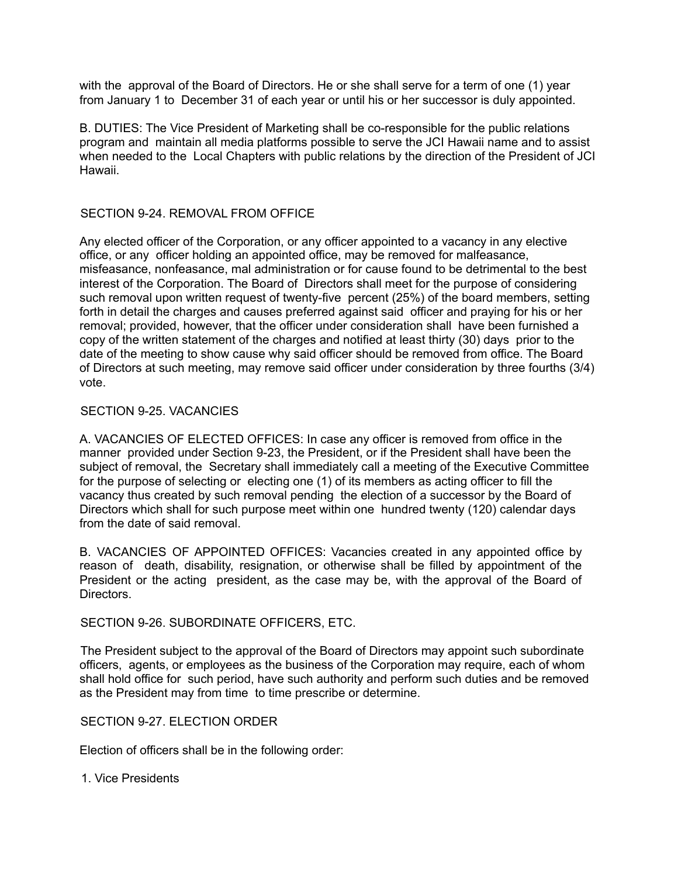with the approval of the Board of Directors. He or she shall serve for a term of one (1) year from January 1 to December 31 of each year or until his or her successor is duly appointed.

B. DUTIES: The Vice President of Marketing shall be co-responsible for the public relations program and maintain all media platforms possible to serve the JCI Hawaii name and to assist when needed to the Local Chapters with public relations by the direction of the President of JCI Hawaii.

### SECTION 9-24. REMOVAL FROM OFFICE

Any elected officer of the Corporation, or any officer appointed to a vacancy in any elective office, or any officer holding an appointed office, may be removed for malfeasance, misfeasance, nonfeasance, mal administration or for cause found to be detrimental to the best interest of the Corporation. The Board of Directors shall meet for the purpose of considering such removal upon written request of twenty-five percent (25%) of the board members, setting forth in detail the charges and causes preferred against said officer and praying for his or her removal; provided, however, that the officer under consideration shall have been furnished a copy of the written statement of the charges and notified at least thirty (30) days prior to the date of the meeting to show cause why said officer should be removed from office. The Board of Directors at such meeting, may remove said officer under consideration by three fourths (3/4) vote.

### SECTION 9-25. VACANCIES

A. VACANCIES OF ELECTED OFFICES: In case any officer is removed from office in the manner provided under Section 9-23, the President, or if the President shall have been the subject of removal, the Secretary shall immediately call a meeting of the Executive Committee for the purpose of selecting or electing one (1) of its members as acting officer to fill the vacancy thus created by such removal pending the election of a successor by the Board of Directors which shall for such purpose meet within one hundred twenty (120) calendar days from the date of said removal.

B. VACANCIES OF APPOINTED OFFICES: Vacancies created in any appointed office by reason of death, disability, resignation, or otherwise shall be filled by appointment of the President or the acting president, as the case may be, with the approval of the Board of **Directors** 

### SECTION 9-26. SUBORDINATE OFFICERS, ETC.

The President subject to the approval of the Board of Directors may appoint such subordinate officers, agents, or employees as the business of the Corporation may require, each of whom shall hold office for such period, have such authority and perform such duties and be removed as the President may from time to time prescribe or determine.

# SECTION 9-27. ELECTION ORDER

Election of officers shall be in the following order:

1. Vice Presidents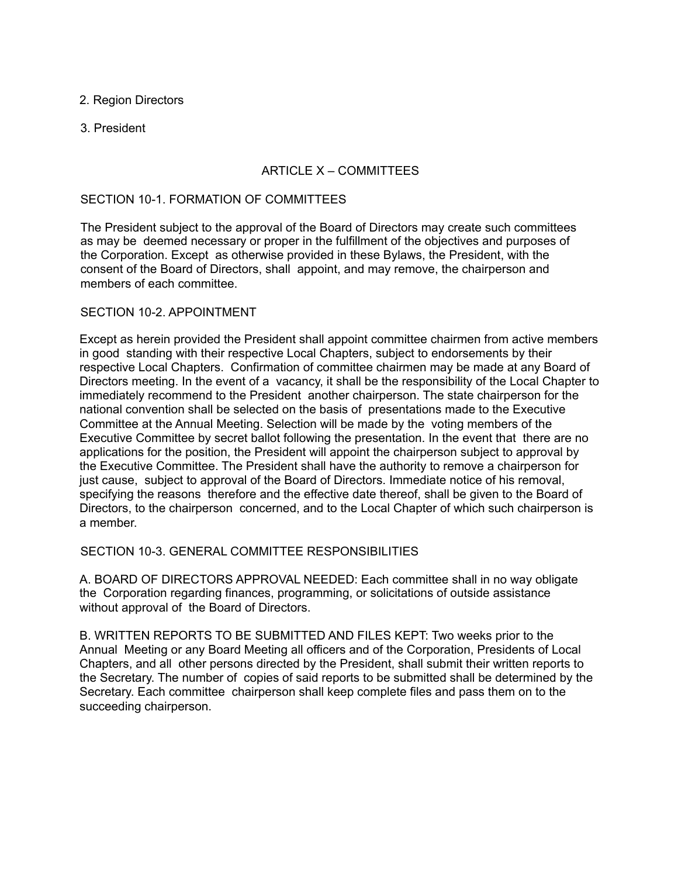## 2. Region Directors

### 3. President

# ARTICLE X – COMMITTEES

### SECTION 10-1. FORMATION OF COMMITTEES

The President subject to the approval of the Board of Directors may create such committees as may be deemed necessary or proper in the fulfillment of the objectives and purposes of the Corporation. Except as otherwise provided in these Bylaws, the President, with the consent of the Board of Directors, shall appoint, and may remove, the chairperson and members of each committee.

### SECTION 10-2. APPOINTMENT

Except as herein provided the President shall appoint committee chairmen from active members in good standing with their respective Local Chapters, subject to endorsements by their respective Local Chapters. Confirmation of committee chairmen may be made at any Board of Directors meeting. In the event of a vacancy, it shall be the responsibility of the Local Chapter to immediately recommend to the President another chairperson. The state chairperson for the national convention shall be selected on the basis of presentations made to the Executive Committee at the Annual Meeting. Selection will be made by the voting members of the Executive Committee by secret ballot following the presentation. In the event that there are no applications for the position, the President will appoint the chairperson subject to approval by the Executive Committee. The President shall have the authority to remove a chairperson for just cause, subject to approval of the Board of Directors. Immediate notice of his removal, specifying the reasons therefore and the effective date thereof, shall be given to the Board of Directors, to the chairperson concerned, and to the Local Chapter of which such chairperson is a member.

SECTION 10-3. GENERAL COMMITTEE RESPONSIBILITIES

A. BOARD OF DIRECTORS APPROVAL NEEDED: Each committee shall in no way obligate the Corporation regarding finances, programming, or solicitations of outside assistance without approval of the Board of Directors.

B. WRITTEN REPORTS TO BE SUBMITTED AND FILES KEPT: Two weeks prior to the Annual Meeting or any Board Meeting all officers and of the Corporation, Presidents of Local Chapters, and all other persons directed by the President, shall submit their written reports to the Secretary. The number of copies of said reports to be submitted shall be determined by the Secretary. Each committee chairperson shall keep complete files and pass them on to the succeeding chairperson.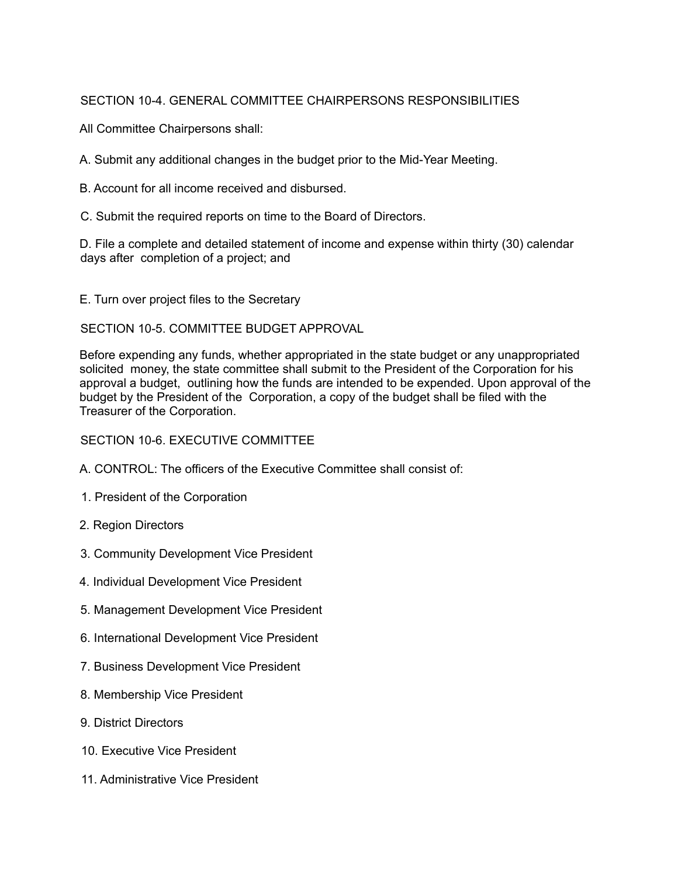# SECTION 10-4. GENERAL COMMITTEE CHAIRPERSONS RESPONSIBILITIES

All Committee Chairpersons shall:

A. Submit any additional changes in the budget prior to the Mid-Year Meeting.

B. Account for all income received and disbursed.

C. Submit the required reports on time to the Board of Directors.

D. File a complete and detailed statement of income and expense within thirty (30) calendar days after completion of a project; and

E. Turn over project files to the Secretary

SECTION 10-5. COMMITTEE BUDGET APPROVAL

Before expending any funds, whether appropriated in the state budget or any unappropriated solicited money, the state committee shall submit to the President of the Corporation for his approval a budget, outlining how the funds are intended to be expended. Upon approval of the budget by the President of the Corporation, a copy of the budget shall be filed with the Treasurer of the Corporation.

# SECTION 10-6. EXECUTIVE COMMITTEE

- A. CONTROL: The officers of the Executive Committee shall consist of:
- 1. President of the Corporation
- 2. Region Directors
- 3. Community Development Vice President
- 4. Individual Development Vice President
- 5. Management Development Vice President
- 6. International Development Vice President
- 7. Business Development Vice President
- 8. Membership Vice President
- 9. District Directors
- 10. Executive Vice President
- 11. Administrative Vice President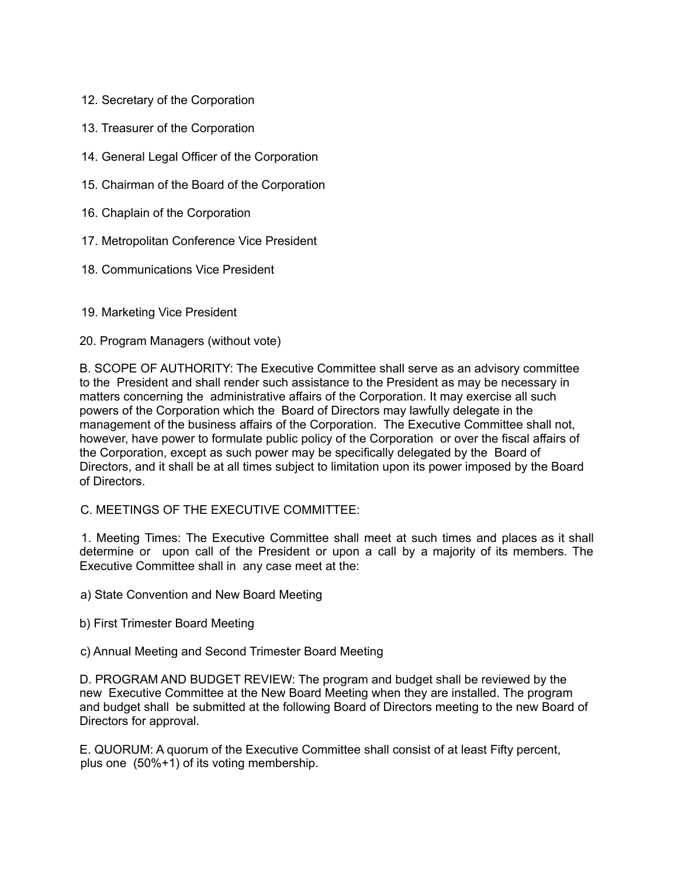- 12. Secretary of the Corporation
- 13. Treasurer of the Corporation
- 14. General Legal Officer of the Corporation
- 15. Chairman of the Board of the Corporation
- 16. Chaplain of the Corporation
- 17. Metropolitan Conference Vice President
- 18. Communications Vice President
- 19. Marketing Vice President
- 20. Program Managers (without vote)

B. SCOPE OF AUTHORITY: The Executive Committee shall serve as an advisory committee to the President and shall render such assistance to the President as may be necessary in matters concerning the administrative affairs of the Corporation. It may exercise all such powers of the Corporation which the Board of Directors may lawfully delegate in the management of the business affairs of the Corporation. The Executive Committee shall not, however, have power to formulate public policy of the Corporation or over the fiscal affairs of the Corporation, except as such power may be specifically delegated by the Board of Directors, and it shall be at all times subject to limitation upon its power imposed by the Board of Directors.

C. MEETINGS OF THE EXECUTIVE COMMITTEE:

1. Meeting Times: The Executive Committee shall meet at such times and places as it shall determine or upon call of the President or upon a call by a majority of its members. The Executive Committee shall in any case meet at the:

- a) State Convention and New Board Meeting
- b) First Trimester Board Meeting
- c) Annual Meeting and Second Trimester Board Meeting

D. PROGRAM AND BUDGET REVIEW: The program and budget shall be reviewed by the new Executive Committee at the New Board Meeting when they are installed. The program and budget shall be submitted at the following Board of Directors meeting to the new Board of Directors for approval.

E. QUORUM: A quorum of the Executive Committee shall consist of at least Fifty percent, plus one (50%+1) of its voting membership.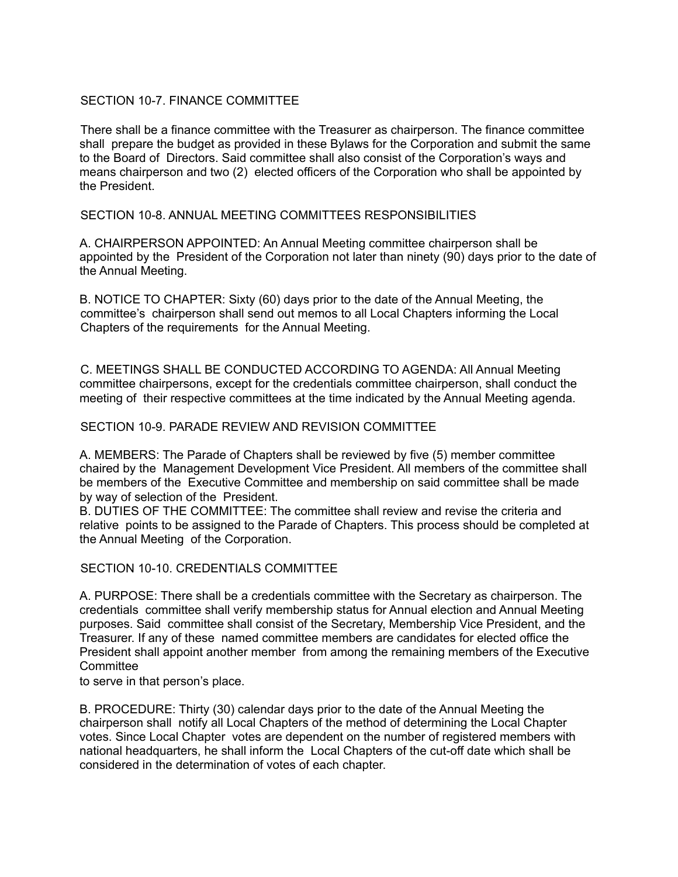# SECTION 10-7. FINANCE COMMITTEE

There shall be a finance committee with the Treasurer as chairperson. The finance committee shall prepare the budget as provided in these Bylaws for the Corporation and submit the same to the Board of Directors. Said committee shall also consist of the Corporation's ways and means chairperson and two (2) elected officers of the Corporation who shall be appointed by the President.

SECTION 10-8. ANNUAL MEETING COMMITTEES RESPONSIBILITIES

A. CHAIRPERSON APPOINTED: An Annual Meeting committee chairperson shall be appointed by the President of the Corporation not later than ninety (90) days prior to the date of the Annual Meeting.

B. NOTICE TO CHAPTER: Sixty (60) days prior to the date of the Annual Meeting, the committee's chairperson shall send out memos to all Local Chapters informing the Local Chapters of the requirements for the Annual Meeting.

C. MEETINGS SHALL BE CONDUCTED ACCORDING TO AGENDA: All Annual Meeting committee chairpersons, except for the credentials committee chairperson, shall conduct the meeting of their respective committees at the time indicated by the Annual Meeting agenda.

### SECTION 10-9. PARADE REVIEW AND REVISION COMMITTEE

A. MEMBERS: The Parade of Chapters shall be reviewed by five (5) member committee chaired by the Management Development Vice President. All members of the committee shall be members of the Executive Committee and membership on said committee shall be made by way of selection of the President.

B. DUTIES OF THE COMMITTEE: The committee shall review and revise the criteria and relative points to be assigned to the Parade of Chapters. This process should be completed at the Annual Meeting of the Corporation.

SECTION 10-10. CREDENTIALS COMMITTEE

A. PURPOSE: There shall be a credentials committee with the Secretary as chairperson. The credentials committee shall verify membership status for Annual election and Annual Meeting purposes. Said committee shall consist of the Secretary, Membership Vice President, and the Treasurer. If any of these named committee members are candidates for elected office the President shall appoint another member from among the remaining members of the Executive **Committee** 

to serve in that person's place.

B. PROCEDURE: Thirty (30) calendar days prior to the date of the Annual Meeting the chairperson shall notify all Local Chapters of the method of determining the Local Chapter votes. Since Local Chapter votes are dependent on the number of registered members with national headquarters, he shall inform the Local Chapters of the cut-off date which shall be considered in the determination of votes of each chapter.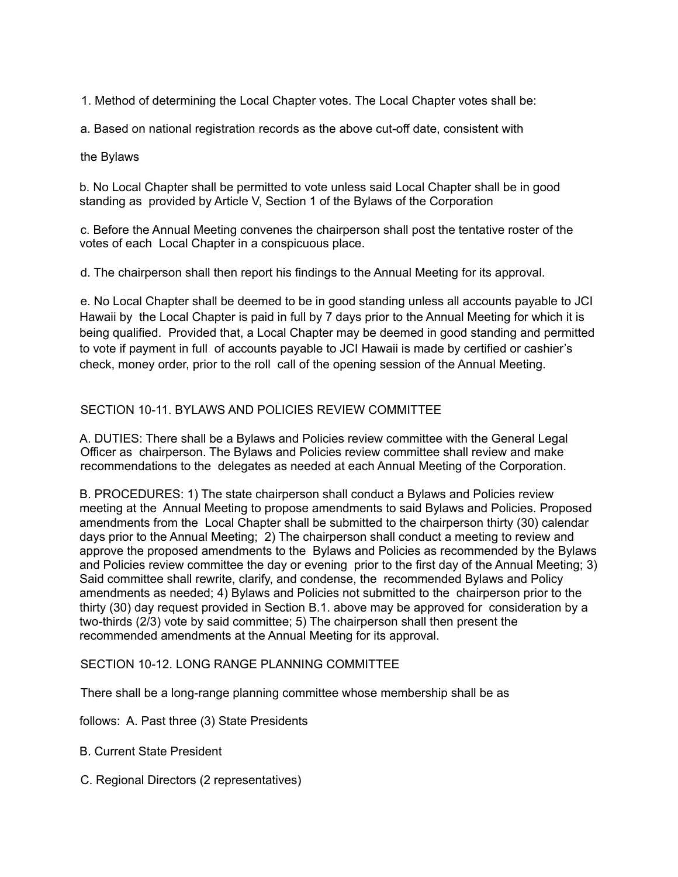1. Method of determining the Local Chapter votes. The Local Chapter votes shall be:

a. Based on national registration records as the above cut-off date, consistent with

### the Bylaws

b. No Local Chapter shall be permitted to vote unless said Local Chapter shall be in good standing as provided by Article V, Section 1 of the Bylaws of the Corporation

c. Before the Annual Meeting convenes the chairperson shall post the tentative roster of the votes of each Local Chapter in a conspicuous place.

d. The chairperson shall then report his findings to the Annual Meeting for its approval.

e. No Local Chapter shall be deemed to be in good standing unless all accounts payable to JCI Hawaii by the Local Chapter is paid in full by 7 days prior to the Annual Meeting for which it is being qualified. Provided that, a Local Chapter may be deemed in good standing and permitted to vote if payment in full of accounts payable to JCI Hawaii is made by certified or cashier's check, money order, prior to the roll call of the opening session of the Annual Meeting.

# SECTION 10-11. BYLAWS AND POLICIES REVIEW COMMITTEE

A. DUTIES: There shall be a Bylaws and Policies review committee with the General Legal Officer as chairperson. The Bylaws and Policies review committee shall review and make recommendations to the delegates as needed at each Annual Meeting of the Corporation.

B. PROCEDURES: 1) The state chairperson shall conduct a Bylaws and Policies review meeting at the Annual Meeting to propose amendments to said Bylaws and Policies. Proposed amendments from the Local Chapter shall be submitted to the chairperson thirty (30) calendar days prior to the Annual Meeting; 2) The chairperson shall conduct a meeting to review and approve the proposed amendments to the Bylaws and Policies as recommended by the Bylaws and Policies review committee the day or evening prior to the first day of the Annual Meeting; 3) Said committee shall rewrite, clarify, and condense, the recommended Bylaws and Policy amendments as needed; 4) Bylaws and Policies not submitted to the chairperson prior to the thirty (30) day request provided in Section B.1. above may be approved for consideration by a two-thirds (2/3) vote by said committee; 5) The chairperson shall then present the recommended amendments at the Annual Meeting for its approval.

# SECTION 10-12. LONG RANGE PLANNING COMMITTEE

There shall be a long-range planning committee whose membership shall be as

follows: A. Past three (3) State Presidents

- B. Current State President
- C. Regional Directors (2 representatives)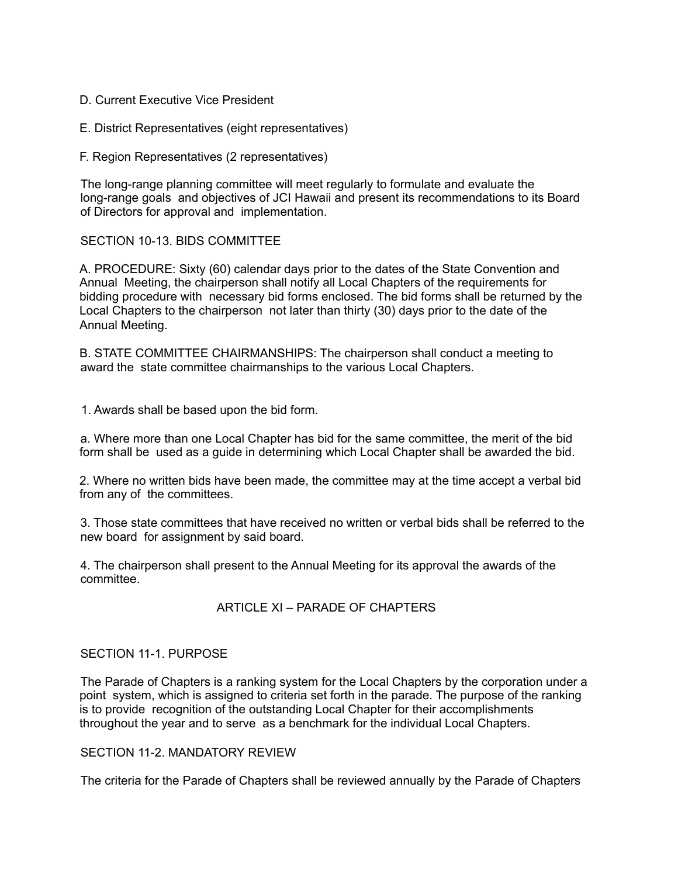- D. Current Executive Vice President
- E. District Representatives (eight representatives)
- F. Region Representatives (2 representatives)

The long-range planning committee will meet regularly to formulate and evaluate the long-range goals and objectives of JCI Hawaii and present its recommendations to its Board of Directors for approval and implementation.

SECTION 10-13. BIDS COMMITTEE

A. PROCEDURE: Sixty (60) calendar days prior to the dates of the State Convention and Annual Meeting, the chairperson shall notify all Local Chapters of the requirements for bidding procedure with necessary bid forms enclosed. The bid forms shall be returned by the Local Chapters to the chairperson not later than thirty (30) days prior to the date of the Annual Meeting.

B. STATE COMMITTEE CHAIRMANSHIPS: The chairperson shall conduct a meeting to award the state committee chairmanships to the various Local Chapters.

1. Awards shall be based upon the bid form.

a. Where more than one Local Chapter has bid for the same committee, the merit of the bid form shall be used as a guide in determining which Local Chapter shall be awarded the bid.

2. Where no written bids have been made, the committee may at the time accept a verbal bid from any of the committees.

3. Those state committees that have received no written or verbal bids shall be referred to the new board for assignment by said board.

4. The chairperson shall present to the Annual Meeting for its approval the awards of the committee.

# ARTICLE XI – PARADE OF CHAPTERS

### SECTION 11-1. PURPOSE

The Parade of Chapters is a ranking system for the Local Chapters by the corporation under a point system, which is assigned to criteria set forth in the parade. The purpose of the ranking is to provide recognition of the outstanding Local Chapter for their accomplishments throughout the year and to serve as a benchmark for the individual Local Chapters.

### SECTION 11-2. MANDATORY REVIEW

The criteria for the Parade of Chapters shall be reviewed annually by the Parade of Chapters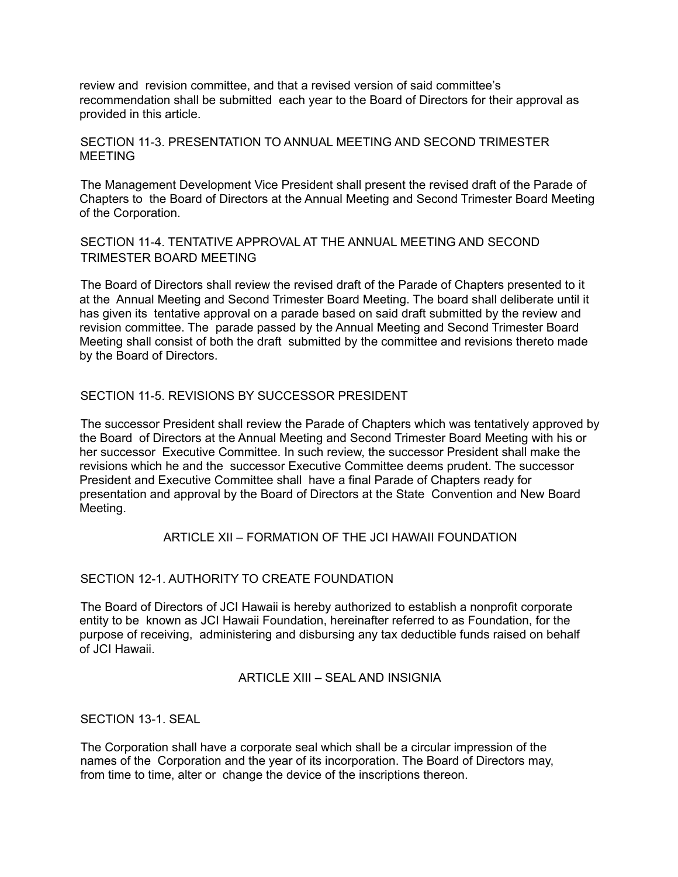review and revision committee, and that a revised version of said committee's recommendation shall be submitted each year to the Board of Directors for their approval as provided in this article.

# SECTION 11-3. PRESENTATION TO ANNUAL MEETING AND SECOND TRIMESTER MEETING

The Management Development Vice President shall present the revised draft of the Parade of Chapters to the Board of Directors at the Annual Meeting and Second Trimester Board Meeting of the Corporation.

# SECTION 11-4. TENTATIVE APPROVAL AT THE ANNUAL MEETING AND SECOND TRIMESTER BOARD MEETING

The Board of Directors shall review the revised draft of the Parade of Chapters presented to it at the Annual Meeting and Second Trimester Board Meeting. The board shall deliberate until it has given its tentative approval on a parade based on said draft submitted by the review and revision committee. The parade passed by the Annual Meeting and Second Trimester Board Meeting shall consist of both the draft submitted by the committee and revisions thereto made by the Board of Directors.

# SECTION 11-5. REVISIONS BY SUCCESSOR PRESIDENT

The successor President shall review the Parade of Chapters which was tentatively approved by the Board of Directors at the Annual Meeting and Second Trimester Board Meeting with his or her successor Executive Committee. In such review, the successor President shall make the revisions which he and the successor Executive Committee deems prudent. The successor President and Executive Committee shall have a final Parade of Chapters ready for presentation and approval by the Board of Directors at the State Convention and New Board Meeting.

# ARTICLE XII – FORMATION OF THE JCI HAWAII FOUNDATION

# SECTION 12-1. AUTHORITY TO CREATE FOUNDATION

The Board of Directors of JCI Hawaii is hereby authorized to establish a nonprofit corporate entity to be known as JCI Hawaii Foundation, hereinafter referred to as Foundation, for the purpose of receiving, administering and disbursing any tax deductible funds raised on behalf of JCI Hawaii.

### ARTICLE XIII – SEAL AND INSIGNIA

SECTION 13-1. SEAL

The Corporation shall have a corporate seal which shall be a circular impression of the names of the Corporation and the year of its incorporation. The Board of Directors may, from time to time, alter or change the device of the inscriptions thereon.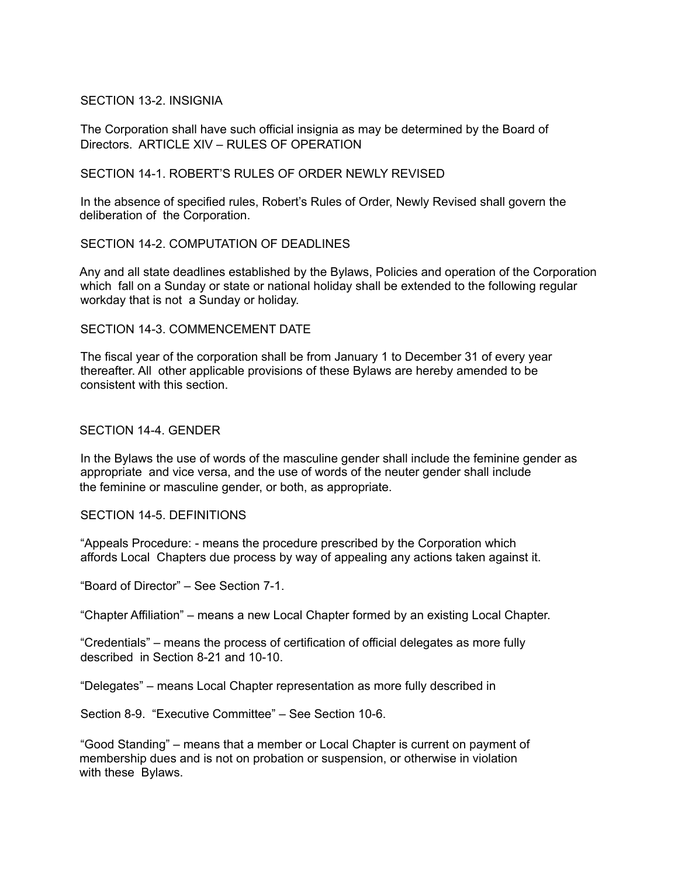### SECTION 13-2. INSIGNIA

The Corporation shall have such official insignia as may be determined by the Board of Directors. ARTICLE XIV – RULES OF OPERATION

### SECTION 14-1. ROBERT'S RULES OF ORDER NEWLY REVISED

In the absence of specified rules, Robert's Rules of Order, Newly Revised shall govern the deliberation of the Corporation.

## SECTION 14-2. COMPUTATION OF DEADLINES

Any and all state deadlines established by the Bylaws, Policies and operation of the Corporation which fall on a Sunday or state or national holiday shall be extended to the following regular workday that is not a Sunday or holiday.

# SECTION 14-3. COMMENCEMENT DATE

The fiscal year of the corporation shall be from January 1 to December 31 of every year thereafter. All other applicable provisions of these Bylaws are hereby amended to be consistent with this section.

### SECTION 14-4. GENDER

In the Bylaws the use of words of the masculine gender shall include the feminine gender as appropriate and vice versa, and the use of words of the neuter gender shall include the feminine or masculine gender, or both, as appropriate.

### SECTION 14-5 DEFINITIONS

"Appeals Procedure: - means the procedure prescribed by the Corporation which affords Local Chapters due process by way of appealing any actions taken against it.

"Board of Director" – See Section 7-1.

"Chapter Affiliation" – means a new Local Chapter formed by an existing Local Chapter.

"Credentials" – means the process of certification of official delegates as more fully described in Section 8-21 and 10-10.

"Delegates" – means Local Chapter representation as more fully described in

Section 8-9. "Executive Committee" – See Section 10-6.

"Good Standing" – means that a member or Local Chapter is current on payment of membership dues and is not on probation or suspension, or otherwise in violation with these Bylaws.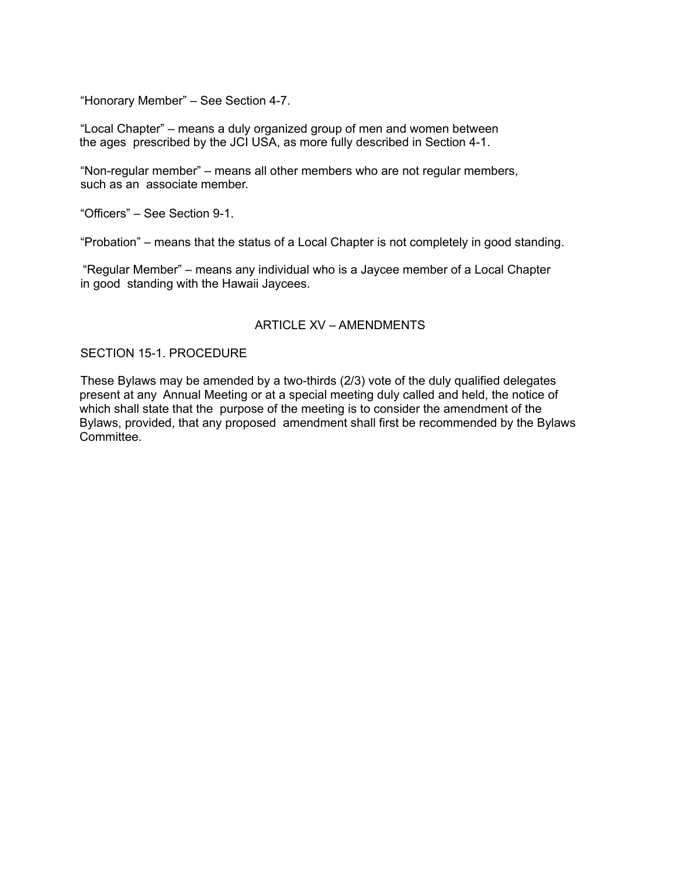"Honorary Member" – See Section 4-7.

"Local Chapter" – means a duly organized group of men and women between the ages prescribed by the JCI USA, as more fully described in Section 4-1.

"Non-regular member" – means all other members who are not regular members, such as an associate member.

"Officers" – See Section 9-1.

"Probation" – means that the status of a Local Chapter is not completely in good standing.

"Regular Member" – means any individual who is a Jaycee member of a Local Chapter in good standing with the Hawaii Jaycees.

### ARTICLE XV – AMENDMENTS

### SECTION 15-1. PROCEDURE

These Bylaws may be amended by a two-thirds (2/3) vote of the duly qualified delegates present at any Annual Meeting or at a special meeting duly called and held, the notice of which shall state that the purpose of the meeting is to consider the amendment of the Bylaws, provided, that any proposed amendment shall first be recommended by the Bylaws **Committee.**